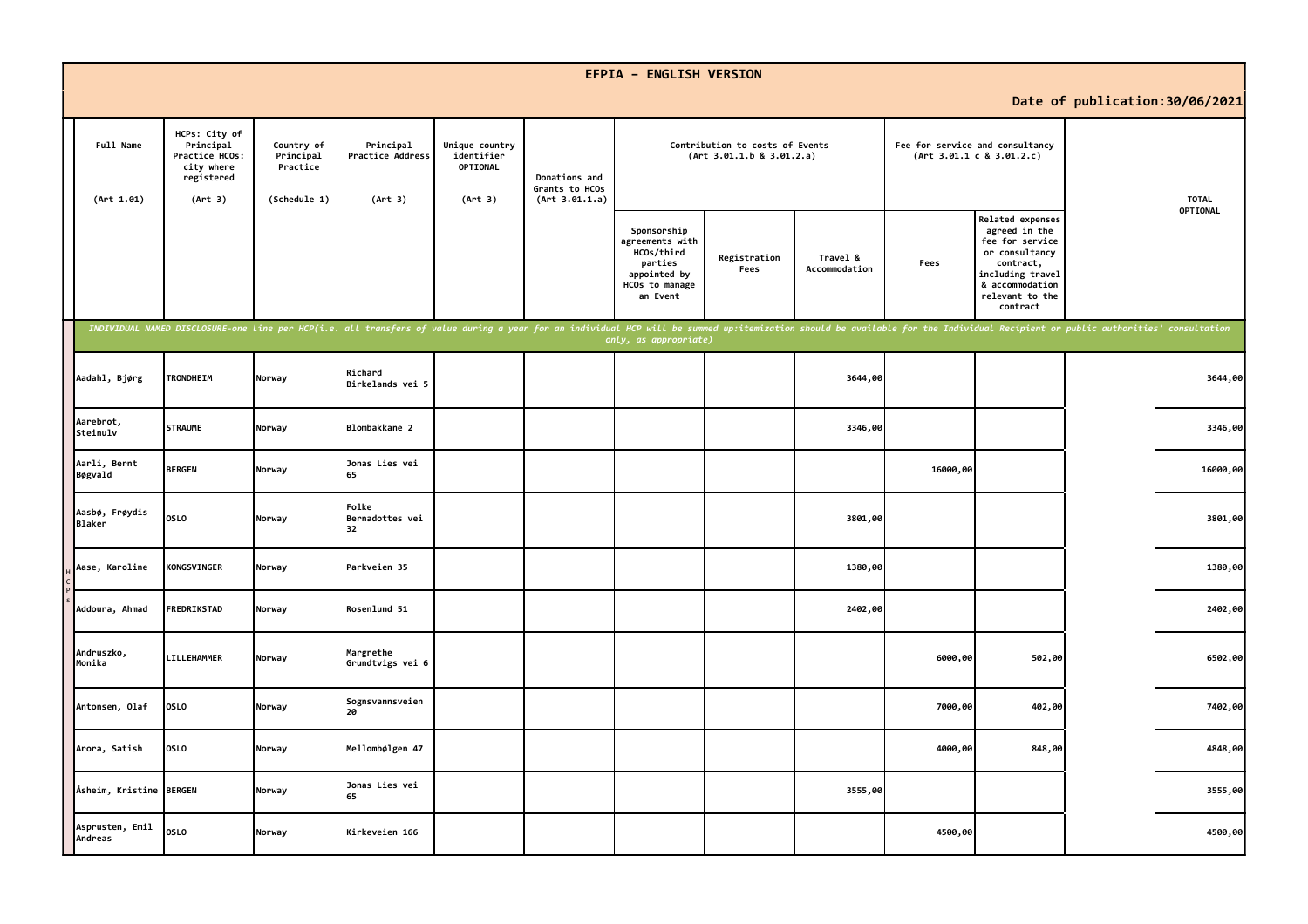|                                 |                                                                                     |                                                     |                                                                                                                                                                                                                                |                                                     |                                                   | <b>EFPIA - ENGLISH VERSION</b>                                                                        |                                                              |                           |                                 |                                                                                                                                                                  |                                 |
|---------------------------------|-------------------------------------------------------------------------------------|-----------------------------------------------------|--------------------------------------------------------------------------------------------------------------------------------------------------------------------------------------------------------------------------------|-----------------------------------------------------|---------------------------------------------------|-------------------------------------------------------------------------------------------------------|--------------------------------------------------------------|---------------------------|---------------------------------|------------------------------------------------------------------------------------------------------------------------------------------------------------------|---------------------------------|
|                                 |                                                                                     |                                                     |                                                                                                                                                                                                                                |                                                     |                                                   |                                                                                                       |                                                              |                           |                                 |                                                                                                                                                                  | Date of publication: 30/06/2021 |
| Full Name<br>(Art 1.01)         | HCPs: City of<br>Principal<br>Practice HCOs:<br>city where<br>registered<br>(Art 3) | Country of<br>Principal<br>Practice<br>(Schedule 1) | Principal<br>Practice Address<br>(Art 3)                                                                                                                                                                                       | Unique country<br>identifier<br>OPTIONAL<br>(Art 3) | Donations and<br>Grants to HCOs<br>(Art 3.01.1.a) |                                                                                                       | Contribution to costs of Events<br>(Art 3.01.1.b 8 3.01.2.a) |                           | Fee for service and consultancy | (Art 3.01.1 c 8 3.01.2.c)                                                                                                                                        | <b>TOTAL</b>                    |
|                                 |                                                                                     |                                                     |                                                                                                                                                                                                                                |                                                     |                                                   | Sponsorship<br>agreements with<br>HCOs/third<br>parties<br>appointed by<br>HCOs to manage<br>an Event | Registration<br>Fees                                         | Travel &<br>Accommodation | Fees                            | <b>Related expenses</b><br>agreed in the<br>fee for service<br>or consultancy<br>contract,<br>including travel<br>& accommodation<br>relevant to the<br>contract | OPTIONAL                        |
|                                 |                                                                                     |                                                     | INDIVIDUAL NAMED DISCLOSURE-one line per HCP(i.e. all transfers of value during a year for an individual HCP will be summed up:itemization should be available for the Individual Recipient or public authorities' consultatio |                                                     |                                                   | only, as appropriate)                                                                                 |                                                              |                           |                                 |                                                                                                                                                                  |                                 |
| Aadahl, Bjørg                   | <b>TRONDHEIM</b>                                                                    | Norway                                              | Richard<br>Birkelands vei 5                                                                                                                                                                                                    |                                                     |                                                   |                                                                                                       |                                                              | 3644,00                   |                                 |                                                                                                                                                                  | 3644,00                         |
| Aarebrot,<br>Steinulv           | <b>STRAUME</b>                                                                      | Norway                                              | Blombakkane 2                                                                                                                                                                                                                  |                                                     |                                                   |                                                                                                       |                                                              | 3346,00                   |                                 |                                                                                                                                                                  | 3346,00                         |
| Aarli, Bernt<br>Bøgvald         | <b>BERGEN</b>                                                                       | Norway                                              | Jonas Lies vei<br>65                                                                                                                                                                                                           |                                                     |                                                   |                                                                                                       |                                                              |                           | 16000,00                        |                                                                                                                                                                  | 16000,00                        |
| Aasbø, Frøydis<br><b>Blaker</b> | <b>OSLO</b>                                                                         | Norway                                              | Folke<br>Bernadottes vei<br>32                                                                                                                                                                                                 |                                                     |                                                   |                                                                                                       |                                                              | 3801,00                   |                                 |                                                                                                                                                                  | 3801,00                         |
| Aase, Karoline                  | <b>KONGSVINGER</b>                                                                  | Norway                                              | Parkveien 35                                                                                                                                                                                                                   |                                                     |                                                   |                                                                                                       |                                                              | 1380,00                   |                                 |                                                                                                                                                                  | 1380,00                         |
| Addoura, Ahmad                  | FREDRIKSTAD                                                                         | Norway                                              | Rosenlund 51                                                                                                                                                                                                                   |                                                     |                                                   |                                                                                                       |                                                              | 2402,00                   |                                 |                                                                                                                                                                  | 2402,00                         |
| Andruszko,<br>Monika            | LILLEHAMMER                                                                         | Norway                                              | Margrethe<br>Grundtvigs vei 6                                                                                                                                                                                                  |                                                     |                                                   |                                                                                                       |                                                              |                           | 6000,00                         | 502,00                                                                                                                                                           | 6502,00                         |
| Antonsen, Olaf                  | <b>OSLO</b>                                                                         | Norway                                              | Sognsvannsveien<br>20                                                                                                                                                                                                          |                                                     |                                                   |                                                                                                       |                                                              |                           | 7000,00                         | 402,00                                                                                                                                                           | 7402,00                         |
| Arora, Satish                   | <b>OSLO</b>                                                                         | Norway                                              | Mellombølgen 47                                                                                                                                                                                                                |                                                     |                                                   |                                                                                                       |                                                              |                           | 4000,00                         | 848,00                                                                                                                                                           | 4848,00                         |
| Åsheim, Kristine BERGEN         |                                                                                     | Norway                                              | Jonas Lies vei<br>65                                                                                                                                                                                                           |                                                     |                                                   |                                                                                                       |                                                              | 3555,00                   |                                 |                                                                                                                                                                  | 3555,00                         |
| Asprusten, Emil<br>Andreas      | <b>OSLO</b>                                                                         | Norway                                              | Kirkeveien 166                                                                                                                                                                                                                 |                                                     |                                                   |                                                                                                       |                                                              |                           | 4500,00                         |                                                                                                                                                                  | 4500,00                         |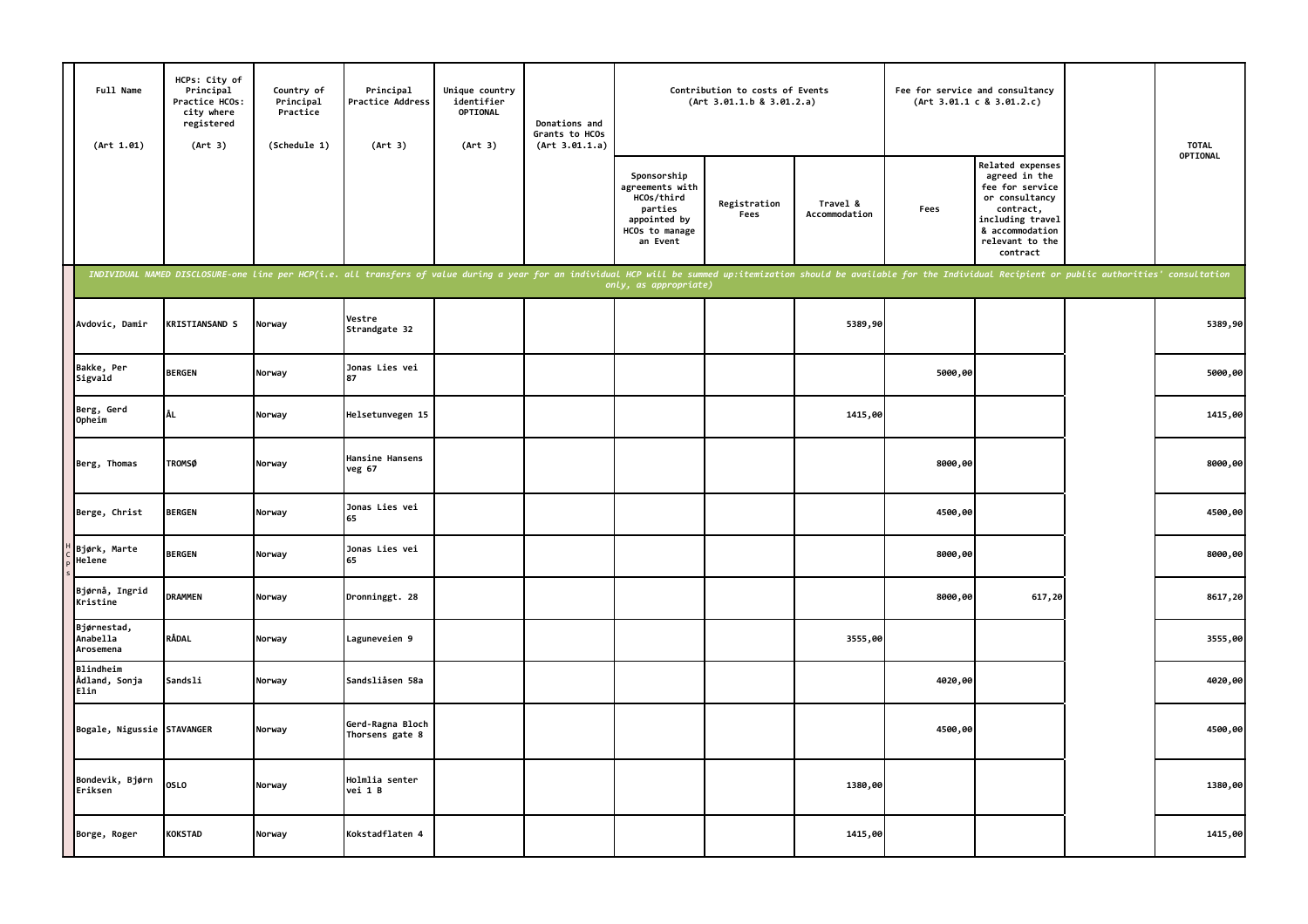| Full Name<br>(Art 1.01)              | HCPs: City of<br>Principal<br>Practice HCOs:<br>city where<br>registered<br>(Art 3) | Country of<br>Principal<br>Practice<br>(Schedule 1) | Principal<br>Practice Address<br>(Art 3)                                                                                                                                                                                       | Unique country<br>identifier<br>OPTIONAL<br>(Art 3) | Donations and<br>Grants to HCOs<br>(Art 3.01.1.a) |                                                                                                       | Contribution to costs of Events<br>(Art 3.01.1.b 8 3.01.2.a) |                           | Fee for service and consultancy | (Art 3.01.1 c 8 3.01.2.c)                                                                                                                                 | <b>TOTAL</b> |
|--------------------------------------|-------------------------------------------------------------------------------------|-----------------------------------------------------|--------------------------------------------------------------------------------------------------------------------------------------------------------------------------------------------------------------------------------|-----------------------------------------------------|---------------------------------------------------|-------------------------------------------------------------------------------------------------------|--------------------------------------------------------------|---------------------------|---------------------------------|-----------------------------------------------------------------------------------------------------------------------------------------------------------|--------------|
|                                      |                                                                                     |                                                     |                                                                                                                                                                                                                                |                                                     |                                                   | Sponsorship<br>agreements with<br>HCOs/third<br>parties<br>appointed by<br>HCOs to manage<br>an Event | Registration<br>Fees                                         | Travel &<br>Accommodation | Fees                            | Related expenses<br>agreed in the<br>fee for service<br>or consultancy<br>contract,<br>including travel<br>& accommodation<br>relevant to the<br>contract | OPTIONAL     |
|                                      |                                                                                     |                                                     | INDIVIDUAL NAMED DISCLOSURE-one line per HCP(i.e. all transfers of value during a year for an individual HCP will be summed up:itemization should be available for the Individual Recipient or public authorities' consultatio |                                                     |                                                   | only, as appropriate)                                                                                 |                                                              |                           |                                 |                                                                                                                                                           |              |
| Avdovic, Damir                       | <b>KRISTIANSAND S</b>                                                               | Norway                                              | Vestre<br>Strandgate 32                                                                                                                                                                                                        |                                                     |                                                   |                                                                                                       |                                                              | 5389,90                   |                                 |                                                                                                                                                           | 5389,90      |
| Bakke, Per<br>Sigvald                | <b>BERGEN</b>                                                                       | Norway                                              | Jonas Lies vei                                                                                                                                                                                                                 |                                                     |                                                   |                                                                                                       |                                                              |                           | 5000,00                         |                                                                                                                                                           | 5000,00      |
| Berg, Gerd<br>Opheim                 | ÅL                                                                                  | Norway                                              | Helsetunvegen 15                                                                                                                                                                                                               |                                                     |                                                   |                                                                                                       |                                                              | 1415,00                   |                                 |                                                                                                                                                           | 1415,00      |
| Berg, Thomas                         | <b>TROMSØ</b>                                                                       | Norway                                              | Hansine Hansens<br>veg 67                                                                                                                                                                                                      |                                                     |                                                   |                                                                                                       |                                                              |                           | 8000,00                         |                                                                                                                                                           | 8000,00      |
| Berge, Christ                        | <b>BERGEN</b>                                                                       | Norway                                              | Jonas Lies vei<br>65                                                                                                                                                                                                           |                                                     |                                                   |                                                                                                       |                                                              |                           | 4500,00                         |                                                                                                                                                           | 4500,00      |
| Bjørk, Marte<br>Helene               | <b>BERGEN</b>                                                                       | Norway                                              | Jonas Lies vei<br>65                                                                                                                                                                                                           |                                                     |                                                   |                                                                                                       |                                                              |                           | 8000,00                         |                                                                                                                                                           | 8000,00      |
| Bjørnå, Ingrid<br>Kristine           | <b>DRAMMEN</b>                                                                      | Norway                                              | Dronninggt. 28                                                                                                                                                                                                                 |                                                     |                                                   |                                                                                                       |                                                              |                           | 8000,00                         | 617,20                                                                                                                                                    | 8617,20      |
| Bjørnestad,<br>Anabella<br>Arosemena | RÅDAL                                                                               | Norway                                              | Laguneveien 9                                                                                                                                                                                                                  |                                                     |                                                   |                                                                                                       |                                                              | 3555,00                   |                                 |                                                                                                                                                           | 3555,00      |
| Blindheim<br>Ådland, Sonja<br>Elin   | Sandsli                                                                             | Norway                                              | Sandsliåsen 58a                                                                                                                                                                                                                |                                                     |                                                   |                                                                                                       |                                                              |                           | 4020,00                         |                                                                                                                                                           | 4020,00      |
| Bogale, Nigussie STAVANGER           |                                                                                     | Norway                                              | Gerd-Ragna Bloch<br>Thorsens gate 8                                                                                                                                                                                            |                                                     |                                                   |                                                                                                       |                                                              |                           | 4500,00                         |                                                                                                                                                           | 4500,00      |
| Bondevik, Bjørn<br>Eriksen           | <b>OSLO</b>                                                                         | Norway                                              | Holmlia senter<br>vei 1 B                                                                                                                                                                                                      |                                                     |                                                   |                                                                                                       |                                                              | 1380,00                   |                                 |                                                                                                                                                           | 1380,00      |
| Borge, Roger                         | <b>KOKSTAD</b>                                                                      | Norway                                              | Kokstadflaten 4                                                                                                                                                                                                                |                                                     |                                                   |                                                                                                       |                                                              | 1415,00                   |                                 |                                                                                                                                                           | 1415,00      |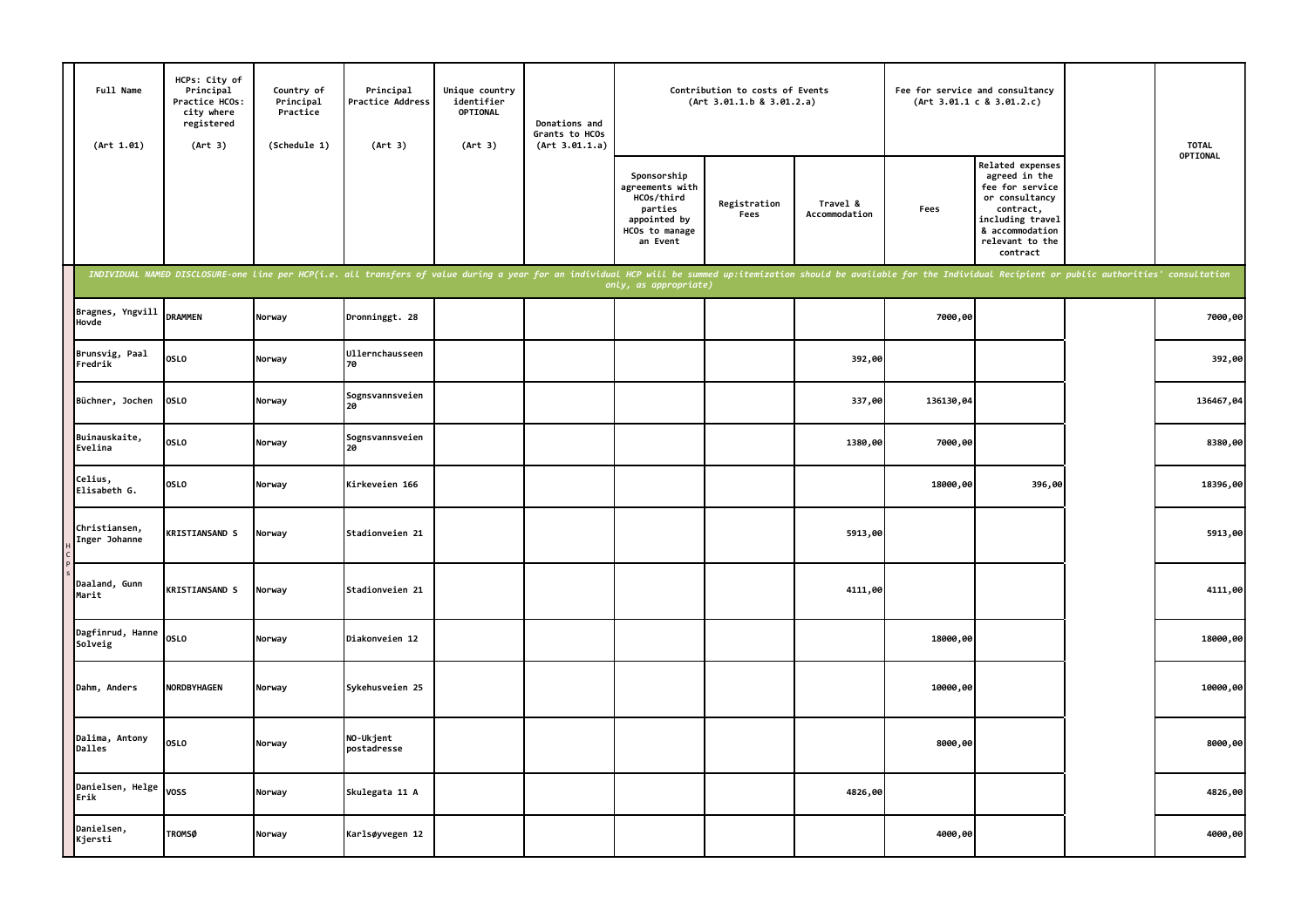| Full Name<br>(Art 1.01)        | HCPs: City of<br>Principal<br>Practice HCOs:<br>city where<br>registered<br>(Art 3) | Country of<br>Principal<br>Practice<br>(Schedule 1) | Principal<br>Practice Address<br>(Art 3)                                                                                                                                                                                       | Unique country<br>identifier<br>OPTIONAL<br>(Art 3) | Donations and<br>Grants to HCOs<br>(Art 3.01.1.a) |                                                                                                       | Contribution to costs of Events<br>(Art 3.01.1.b 8 3.01.2.a) |                           | Fee for service and consultancy | (Art 3.01.1 c 8 3.01.2.c)                                                                                                                                        | <b>TOTAL</b> |
|--------------------------------|-------------------------------------------------------------------------------------|-----------------------------------------------------|--------------------------------------------------------------------------------------------------------------------------------------------------------------------------------------------------------------------------------|-----------------------------------------------------|---------------------------------------------------|-------------------------------------------------------------------------------------------------------|--------------------------------------------------------------|---------------------------|---------------------------------|------------------------------------------------------------------------------------------------------------------------------------------------------------------|--------------|
|                                |                                                                                     |                                                     |                                                                                                                                                                                                                                |                                                     |                                                   | Sponsorship<br>agreements with<br>HCOs/third<br>parties<br>appointed by<br>HCOs to manage<br>an Event | Registration<br>Fees                                         | Travel &<br>Accommodation | Fees                            | <b>Related expenses</b><br>agreed in the<br>fee for service<br>or consultancy<br>contract,<br>including travel<br>& accommodation<br>relevant to the<br>contract | OPTIONAL     |
|                                |                                                                                     |                                                     | INDIVIDUAL NAMED DISCLOSURE-one line per HCP(i.e. all transfers of value during a year for an individual HCP will be summed up:itemization should be available for the Individual Recipient or public authorities' consultatio |                                                     |                                                   | only, as appropriate)                                                                                 |                                                              |                           |                                 |                                                                                                                                                                  |              |
| Bragnes, Yngvill<br>Hovde      | <b>DRAMMEN</b>                                                                      | Norway                                              | Dronninggt. 28                                                                                                                                                                                                                 |                                                     |                                                   |                                                                                                       |                                                              |                           | 7000,00                         |                                                                                                                                                                  | 7000,00      |
| Brunsvig, Paal<br>Fredrik      | <b>OSLO</b>                                                                         | Norway                                              | Ullernchausseen<br>70                                                                                                                                                                                                          |                                                     |                                                   |                                                                                                       |                                                              | 392,00                    |                                 |                                                                                                                                                                  | 392,00       |
| Büchner, Jochen                | <b>OSLO</b>                                                                         | Norway                                              | Sognsvannsveien<br>20                                                                                                                                                                                                          |                                                     |                                                   |                                                                                                       |                                                              | 337,00                    | 136130,04                       |                                                                                                                                                                  | 136467,04    |
| Buinauskaite,<br>Evelina       | <b>OSLO</b>                                                                         | Norway                                              | Sognsvannsveien<br>20                                                                                                                                                                                                          |                                                     |                                                   |                                                                                                       |                                                              | 1380,00                   | 7000,00                         |                                                                                                                                                                  | 8380,00      |
| Celius,<br>Elisabeth G.        | <b>OSLO</b>                                                                         | Norway                                              | Kirkeveien 166                                                                                                                                                                                                                 |                                                     |                                                   |                                                                                                       |                                                              |                           | 18000,00                        | 396,00                                                                                                                                                           | 18396,00     |
| Christiansen,<br>Inger Johanne | <b>KRISTIANSAND S</b>                                                               | Norway                                              | Stadionveien 21                                                                                                                                                                                                                |                                                     |                                                   |                                                                                                       |                                                              | 5913,00                   |                                 |                                                                                                                                                                  | 5913,00      |
| Daaland, Gunn<br>Marit         | <b>KRISTIANSAND S</b>                                                               | Norway                                              | Stadionveien 21                                                                                                                                                                                                                |                                                     |                                                   |                                                                                                       |                                                              | 4111,00                   |                                 |                                                                                                                                                                  | 4111,00      |
| Dagfinrud, Hanne<br>Solveig    | OSLO                                                                                | Norway                                              | Diakonveien 12                                                                                                                                                                                                                 |                                                     |                                                   |                                                                                                       |                                                              |                           | 18000,00                        |                                                                                                                                                                  | 18000,00     |
| Dahm, Anders                   | <b>NORDBYHAGEN</b>                                                                  | Norway                                              | Sykehusveien 25                                                                                                                                                                                                                |                                                     |                                                   |                                                                                                       |                                                              |                           | 10000,00                        |                                                                                                                                                                  | 10000,00     |
| Dalima, Antony<br>Dalles       | <b>OSLO</b>                                                                         | Norway                                              | NO-Ukjent<br>postadresse                                                                                                                                                                                                       |                                                     |                                                   |                                                                                                       |                                                              |                           | 8000,00                         |                                                                                                                                                                  | 8000,00      |
| Danielsen, Helge<br>Erik       | voss                                                                                | Norway                                              | Skulegata 11 A                                                                                                                                                                                                                 |                                                     |                                                   |                                                                                                       |                                                              | 4826,00                   |                                 |                                                                                                                                                                  | 4826,00      |
| Danielsen,<br>Kjersti          | <b>TROMSØ</b>                                                                       | Norway                                              | Karlsøyvegen 12                                                                                                                                                                                                                |                                                     |                                                   |                                                                                                       |                                                              |                           | 4000,00                         |                                                                                                                                                                  | 4000,00      |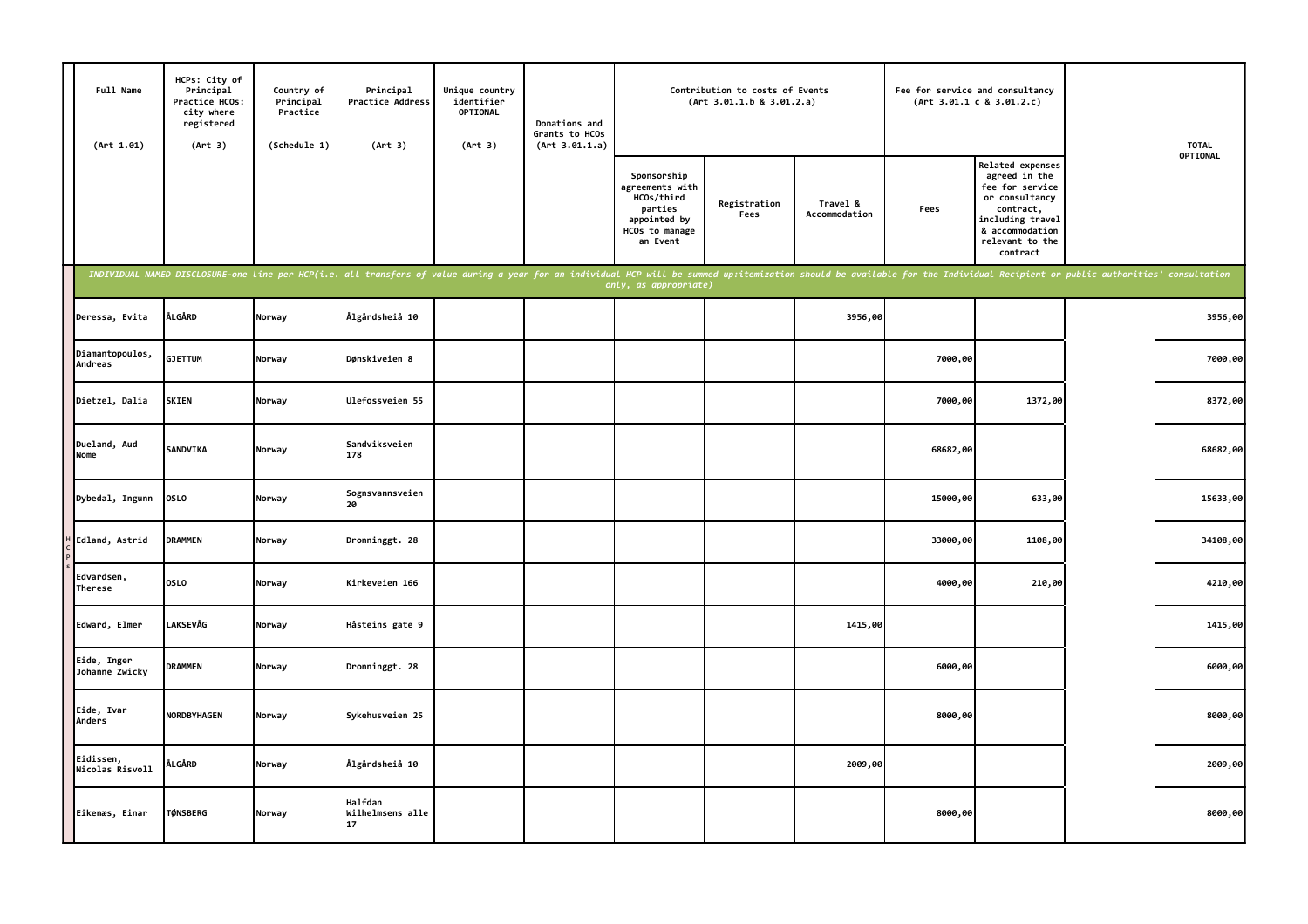|               | Full Name<br>(Art 1.01)       | HCPs: City of<br>Principal<br>Practice HCOs:<br>city where<br>registered<br>(Art 3) | Country of<br>Principal<br>Practice<br>(Schedule 1) | Principal<br>Practice Address<br>(Art 3)                                                                                                                                                                                       | Unique country<br>identifier<br>OPTIONAL<br>(Art 3) | Donations and<br>Grants to HCOs<br>(Art 3.01.1.a) |                                                                                                       | Contribution to costs of Events<br>(Art 3.01.1.b 8 3.01.2.a) |                           |          | Fee for service and consultancy<br>(Art 3.01.1 c 8 3.01.2.c)                                                                                              | <b>TOTAL</b> |
|---------------|-------------------------------|-------------------------------------------------------------------------------------|-----------------------------------------------------|--------------------------------------------------------------------------------------------------------------------------------------------------------------------------------------------------------------------------------|-----------------------------------------------------|---------------------------------------------------|-------------------------------------------------------------------------------------------------------|--------------------------------------------------------------|---------------------------|----------|-----------------------------------------------------------------------------------------------------------------------------------------------------------|--------------|
|               |                               |                                                                                     |                                                     |                                                                                                                                                                                                                                |                                                     |                                                   | Sponsorship<br>agreements with<br>HCOs/third<br>parties<br>appointed by<br>HCOs to manage<br>an Event | Registration<br>Fees                                         | Travel &<br>Accommodation | Fees     | Related expenses<br>agreed in the<br>fee for service<br>or consultancy<br>contract,<br>including travel<br>& accommodation<br>relevant to the<br>contract | OPTIONAL     |
|               |                               |                                                                                     |                                                     | INDIVIDUAL NAMED DISCLOSURE-one line per HCP(i.e. all transfers of value during a year for an individual HCP will be summed up:itemization should be available for the Individual Recipient or public authorities' consultatio |                                                     |                                                   | only, as appropriate)                                                                                 |                                                              |                           |          |                                                                                                                                                           |              |
|               | Deressa, Evita                | ÅLGÅRD                                                                              | Norway                                              | Ålgårdsheiå 10                                                                                                                                                                                                                 |                                                     |                                                   |                                                                                                       |                                                              | 3956,00                   |          |                                                                                                                                                           | 3956,00      |
| Andreas       | Diamantopoulos,               | <b>GJETTUM</b>                                                                      | Norway                                              | Dønskiveien 8                                                                                                                                                                                                                  |                                                     |                                                   |                                                                                                       |                                                              |                           | 7000,00  |                                                                                                                                                           | 7000,00      |
|               | Dietzel, Dalia                | <b>SKIEN</b>                                                                        | Norway                                              | Ulefossveien 55                                                                                                                                                                                                                |                                                     |                                                   |                                                                                                       |                                                              |                           | 7000,00  | 1372,00                                                                                                                                                   | 8372,00      |
| Nome          | Dueland, Aud                  | <b>SANDVIKA</b>                                                                     | Norway                                              | Sandviksveien<br>178                                                                                                                                                                                                           |                                                     |                                                   |                                                                                                       |                                                              |                           | 68682,00 |                                                                                                                                                           | 68682,00     |
|               | Dybedal, Ingunn               | OSLO                                                                                | Norway                                              | Sognsvannsveien                                                                                                                                                                                                                |                                                     |                                                   |                                                                                                       |                                                              |                           | 15000,00 | 633,00                                                                                                                                                    | 15633,00     |
|               | Edland, Astrid                | <b>DRAMMEN</b>                                                                      | Norway                                              | Dronninggt. 28                                                                                                                                                                                                                 |                                                     |                                                   |                                                                                                       |                                                              |                           | 33000,00 | 1108,00                                                                                                                                                   | 34108,00     |
| Therese       | Edvardsen,                    | <b>OSLO</b>                                                                         | Norway                                              | Kirkeveien 166                                                                                                                                                                                                                 |                                                     |                                                   |                                                                                                       |                                                              |                           | 4000,00  | 210,00                                                                                                                                                    | 4210,00      |
|               | Edward, Elmer                 | <b>LAKSEVÅG</b>                                                                     | Norway                                              | Håsteins gate 9                                                                                                                                                                                                                |                                                     |                                                   |                                                                                                       |                                                              | 1415,00                   |          |                                                                                                                                                           | 1415,00      |
|               | Eide, Inger<br>Johanne Zwicky | <b>DRAMMEN</b>                                                                      | Norway                                              | Dronninggt. 28                                                                                                                                                                                                                 |                                                     |                                                   |                                                                                                       |                                                              |                           | 6000,00  |                                                                                                                                                           | 6000,00      |
| <b>Anders</b> | Eide, Ivar                    | NORDBYHAGEN                                                                         | Norway                                              | Sykehusveien 25                                                                                                                                                                                                                |                                                     |                                                   |                                                                                                       |                                                              |                           | 8000,00  |                                                                                                                                                           | 8000,00      |
|               | Eidissen,<br>Nicolas Risvoll  | ÅLGÅRD                                                                              | Norway                                              | Ålgårdsheiå 10                                                                                                                                                                                                                 |                                                     |                                                   |                                                                                                       |                                                              | 2009,00                   |          |                                                                                                                                                           | 2009,00      |
|               | Eikenæs, Einar                | <b>TØNSBERG</b>                                                                     | Norway                                              | Halfdan<br>Wilhelmsens alle<br>17                                                                                                                                                                                              |                                                     |                                                   |                                                                                                       |                                                              |                           | 8000,00  |                                                                                                                                                           | 8000,00      |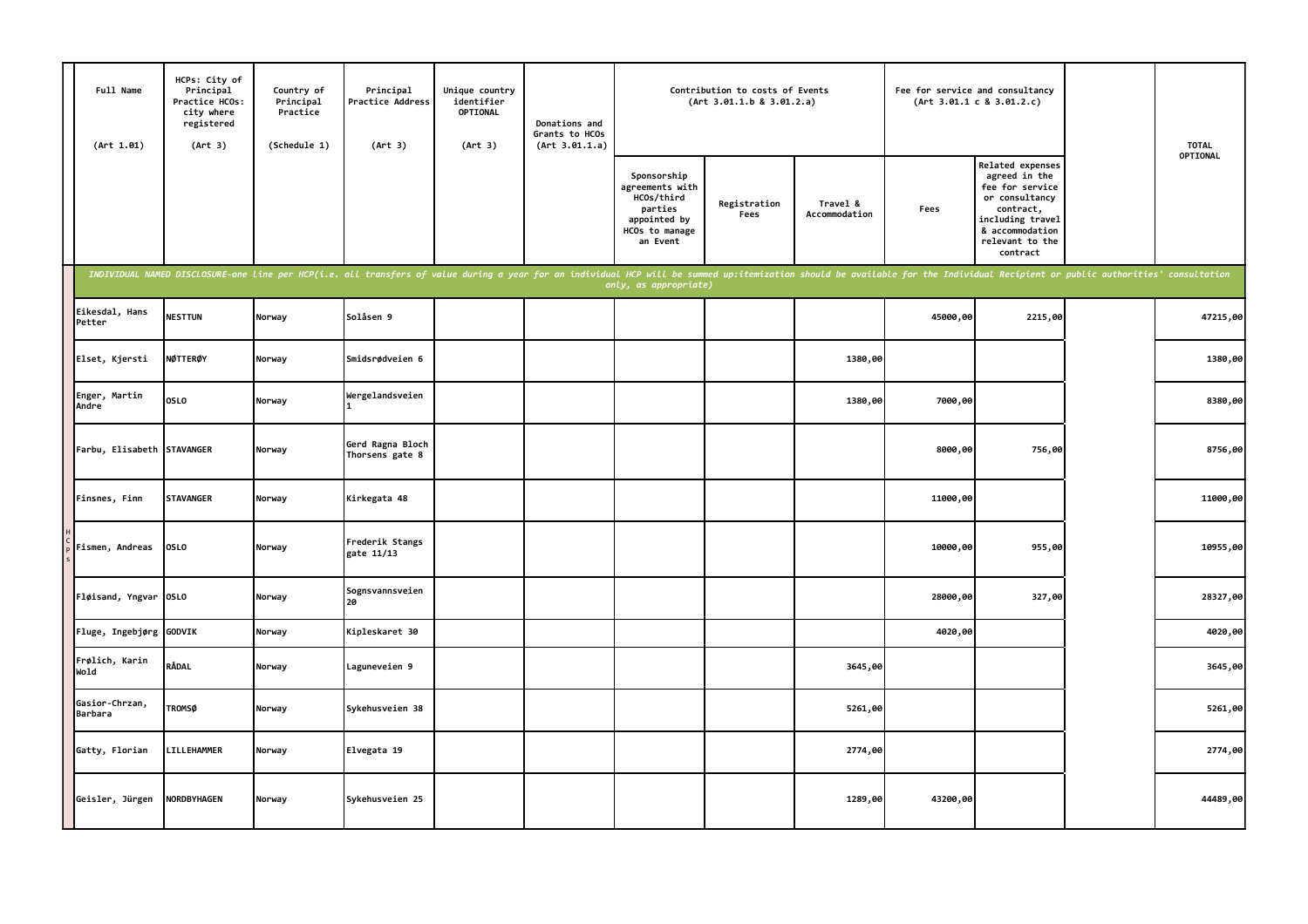| Full Name<br>(Art 1.01)          | HCPs: City of<br>Principal<br>Practice HCOs:<br>city where<br>registered<br>(Art 3) | Country of<br>Principal<br>Practice<br>(Schedule 1) | Principal<br>Practice Address<br>(Art 3)                                                                                                                                                                                       | Unique country<br>identifier<br>OPTIONAL<br>(Art 3) | Donations and<br>Grants to HCOs<br>(Art 3.01.1.a) |                                                                                                       | Contribution to costs of Events<br>(Art 3.01.1.b 8 3.01.2.a) |                           |          | Fee for service and consultancy<br>(Art 3.01.1 c 8 3.01.2.c)                                                                                              | <b>TOTAL</b> |
|----------------------------------|-------------------------------------------------------------------------------------|-----------------------------------------------------|--------------------------------------------------------------------------------------------------------------------------------------------------------------------------------------------------------------------------------|-----------------------------------------------------|---------------------------------------------------|-------------------------------------------------------------------------------------------------------|--------------------------------------------------------------|---------------------------|----------|-----------------------------------------------------------------------------------------------------------------------------------------------------------|--------------|
|                                  |                                                                                     |                                                     |                                                                                                                                                                                                                                |                                                     |                                                   | Sponsorship<br>agreements with<br>HCOs/third<br>parties<br>appointed by<br>HCOs to manage<br>an Event | Registration<br>Fees                                         | Travel &<br>Accommodation | Fees     | Related expenses<br>agreed in the<br>fee for service<br>or consultancy<br>contract,<br>including travel<br>& accommodation<br>relevant to the<br>contract | OPTIONAL     |
|                                  |                                                                                     |                                                     | INDIVIDUAL NAMED DISCLOSURE-one line per HCP(i.e. all transfers of value during a year for an individual HCP will be summed up:itemization should be available for the Individual Recipient or public authorities' consultatio |                                                     |                                                   | only, as appropriate)                                                                                 |                                                              |                           |          |                                                                                                                                                           |              |
| Eikesdal, Hans<br>Petter         | <b>NESTTUN</b>                                                                      | Norway                                              | Solåsen 9                                                                                                                                                                                                                      |                                                     |                                                   |                                                                                                       |                                                              |                           | 45000,00 | 2215,00                                                                                                                                                   | 47215,00     |
| Elset, Kjersti                   | NØTTERØY                                                                            | Norway                                              | Smidsrødveien 6                                                                                                                                                                                                                |                                                     |                                                   |                                                                                                       |                                                              | 1380,00                   |          |                                                                                                                                                           | 1380,00      |
| Enger, Martin<br>Andre           | OSLO                                                                                | Norway                                              | Wergelandsveien                                                                                                                                                                                                                |                                                     |                                                   |                                                                                                       |                                                              | 1380,00                   | 7000,00  |                                                                                                                                                           | 8380,00      |
| Farbu, Elisabeth STAVANGER       |                                                                                     | Norway                                              | Gerd Ragna Bloch<br>Thorsens gate 8                                                                                                                                                                                            |                                                     |                                                   |                                                                                                       |                                                              |                           | 8000,00  | 756,00                                                                                                                                                    | 8756,00      |
| Finsnes, Finn                    | <b>STAVANGER</b>                                                                    | Norway                                              | Kirkegata 48                                                                                                                                                                                                                   |                                                     |                                                   |                                                                                                       |                                                              |                           | 11000,00 |                                                                                                                                                           | 11000,00     |
| Fismen, Andreas                  | <b>OSLO</b>                                                                         | Norway                                              | Frederik Stangs<br>gate 11/13                                                                                                                                                                                                  |                                                     |                                                   |                                                                                                       |                                                              |                           | 10000,00 | 955,00                                                                                                                                                    | 10955,00     |
| Fløisand, Yngvar OSLO            |                                                                                     | Norway                                              | Sognsvannsveien<br>l 2A                                                                                                                                                                                                        |                                                     |                                                   |                                                                                                       |                                                              |                           | 28000,00 | 327,00                                                                                                                                                    | 28327,00     |
| Fluge, Ingebjørg                 | GODVIK                                                                              | Norway                                              | Kipleskaret 30                                                                                                                                                                                                                 |                                                     |                                                   |                                                                                                       |                                                              |                           | 4020,00  |                                                                                                                                                           | 4020,00      |
| Frølich, Karin<br>Wold           | RÅDAL                                                                               | Norway                                              | Laguneveien 9                                                                                                                                                                                                                  |                                                     |                                                   |                                                                                                       |                                                              | 3645,00                   |          |                                                                                                                                                           | 3645,00      |
| Gasior-Chrzan,<br><b>Barbara</b> | <b>TROMSØ</b>                                                                       | Norway                                              | Sykehusveien 38                                                                                                                                                                                                                |                                                     |                                                   |                                                                                                       |                                                              | 5261,00                   |          |                                                                                                                                                           | 5261,00      |
| Gatty, Florian                   | LILLEHAMMER                                                                         | Norway                                              | Elvegata 19                                                                                                                                                                                                                    |                                                     |                                                   |                                                                                                       |                                                              | 2774,00                   |          |                                                                                                                                                           | 2774,00      |
| Geisler, Jürgen                  | <b>NORDBYHAGEN</b>                                                                  | Norway                                              | Sykehusveien 25                                                                                                                                                                                                                |                                                     |                                                   |                                                                                                       |                                                              | 1289,00                   | 43200,00 |                                                                                                                                                           | 44489,00     |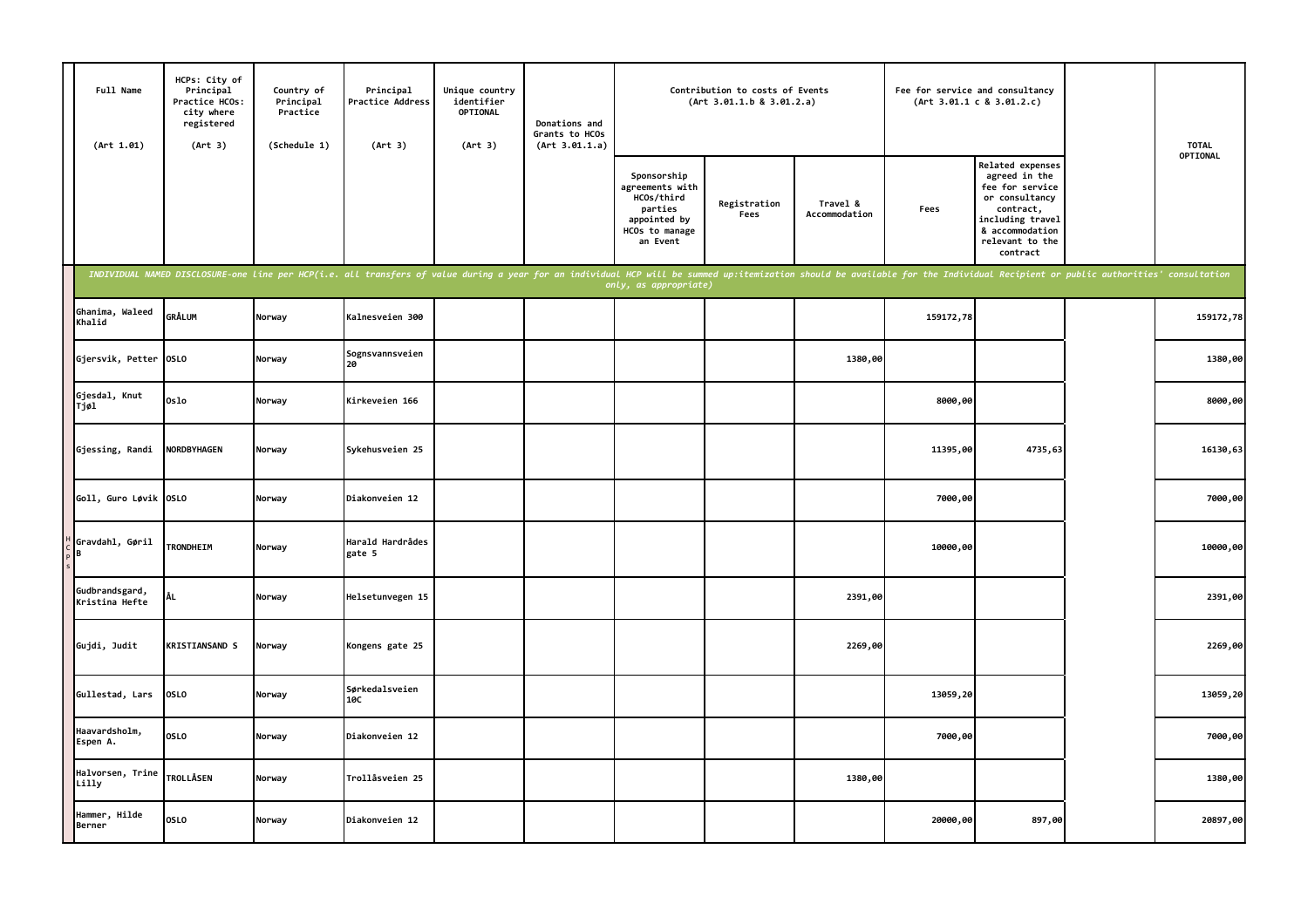| Full Name<br>(Art 1.01)          | HCPs: City of<br>Principal<br>Practice HCOs:<br>city where<br>registered<br>(Art 3) | Country of<br>Principal<br>Practice<br>(Schedule 1) | Principal<br>Practice Address<br>(Art 3)                                                                                                                                                                                       | Unique country<br>identifier<br>OPTIONAL<br>(Art 3) | Donations and<br>Grants to HCOs<br>(Art 3.01.1.a) |                                                                                                       | Contribution to costs of Events<br>(Art 3.01.1.b 8 3.01.2.a) |                           | Fee for service and consultancy | (Art 3.01.1 c 8 3.01.2.c)                                                                                                                                 | <b>TOTAL</b> |
|----------------------------------|-------------------------------------------------------------------------------------|-----------------------------------------------------|--------------------------------------------------------------------------------------------------------------------------------------------------------------------------------------------------------------------------------|-----------------------------------------------------|---------------------------------------------------|-------------------------------------------------------------------------------------------------------|--------------------------------------------------------------|---------------------------|---------------------------------|-----------------------------------------------------------------------------------------------------------------------------------------------------------|--------------|
|                                  |                                                                                     |                                                     |                                                                                                                                                                                                                                |                                                     |                                                   | Sponsorship<br>agreements with<br>HCOs/third<br>parties<br>appointed by<br>HCOs to manage<br>an Event | Registration<br>Fees                                         | Travel &<br>Accommodation | Fees                            | Related expenses<br>agreed in the<br>fee for service<br>or consultancy<br>contract,<br>including travel<br>& accommodation<br>relevant to the<br>contract | OPTIONAL     |
|                                  |                                                                                     |                                                     | INDIVIDUAL NAMED DISCLOSURE-one line per HCP(i.e. all transfers of value during a year for an individual HCP will be summed up:itemization should be available for the Individual Recipient or public authorities' consultatio |                                                     |                                                   | only, as appropriate)                                                                                 |                                                              |                           |                                 |                                                                                                                                                           |              |
| Ghanima, Waleed<br>Khalid        | <b>GRÅLUM</b>                                                                       | Norway                                              | Kalnesveien 300                                                                                                                                                                                                                |                                                     |                                                   |                                                                                                       |                                                              |                           | 159172,78                       |                                                                                                                                                           | 159172,78    |
| Gjersvik, Petter                 | <b>OSLO</b>                                                                         | Norway                                              | Sognsvannsveien<br>20                                                                                                                                                                                                          |                                                     |                                                   |                                                                                                       |                                                              | 1380,00                   |                                 |                                                                                                                                                           | 1380,00      |
| Gjesdal, Knut<br>Tjøl            | 0slo                                                                                | Norway                                              | Kirkeveien 166                                                                                                                                                                                                                 |                                                     |                                                   |                                                                                                       |                                                              |                           | 8000,00                         |                                                                                                                                                           | 8000,00      |
| Gjessing, Randi                  | <b>NORDBYHAGEN</b>                                                                  | Norway                                              | Sykehusveien 25                                                                                                                                                                                                                |                                                     |                                                   |                                                                                                       |                                                              |                           | 11395,00                        | 4735,63                                                                                                                                                   | 16130,63     |
| Goll, Guro Løvik OSLO            |                                                                                     | Norway                                              | Diakonveien 12                                                                                                                                                                                                                 |                                                     |                                                   |                                                                                                       |                                                              |                           | 7000,00                         |                                                                                                                                                           | 7000,00      |
| Gravdahl, Gøril<br>B             | TRONDHEIM                                                                           | Norway                                              | Harald Hardrådes<br>gate 5                                                                                                                                                                                                     |                                                     |                                                   |                                                                                                       |                                                              |                           | 10000,00                        |                                                                                                                                                           | 10000,00     |
| Gudbrandsgard,<br>Kristina Hefte | ÅL                                                                                  | Norway                                              | Helsetunvegen 15                                                                                                                                                                                                               |                                                     |                                                   |                                                                                                       |                                                              | 2391,00                   |                                 |                                                                                                                                                           | 2391,00      |
| Gujdi, Judit                     | <b>KRISTIANSAND S</b>                                                               | Norway                                              | Kongens gate 25                                                                                                                                                                                                                |                                                     |                                                   |                                                                                                       |                                                              | 2269,00                   |                                 |                                                                                                                                                           | 2269,00      |
| Gullestad, Lars                  | <b>OSLO</b>                                                                         | Norway                                              | Sørkedalsveien<br>10C                                                                                                                                                                                                          |                                                     |                                                   |                                                                                                       |                                                              |                           | 13059,20                        |                                                                                                                                                           | 13059,20     |
| Haavardsholm,<br>Espen A.        | <b>OSLO</b>                                                                         | Norway                                              | Diakonveien 12                                                                                                                                                                                                                 |                                                     |                                                   |                                                                                                       |                                                              |                           | 7000,00                         |                                                                                                                                                           | 7000,00      |
| Halvorsen, Trine<br>Lilly        | <b>TROLLÅSEN</b>                                                                    | Norway                                              | Trollåsveien 25                                                                                                                                                                                                                |                                                     |                                                   |                                                                                                       |                                                              | 1380,00                   |                                 |                                                                                                                                                           | 1380,00      |
| Hammer, Hilde<br>Berner          | <b>OSLO</b>                                                                         | Norway                                              | Diakonveien 12                                                                                                                                                                                                                 |                                                     |                                                   |                                                                                                       |                                                              |                           | 20000,00                        | 897,00                                                                                                                                                    | 20897,00     |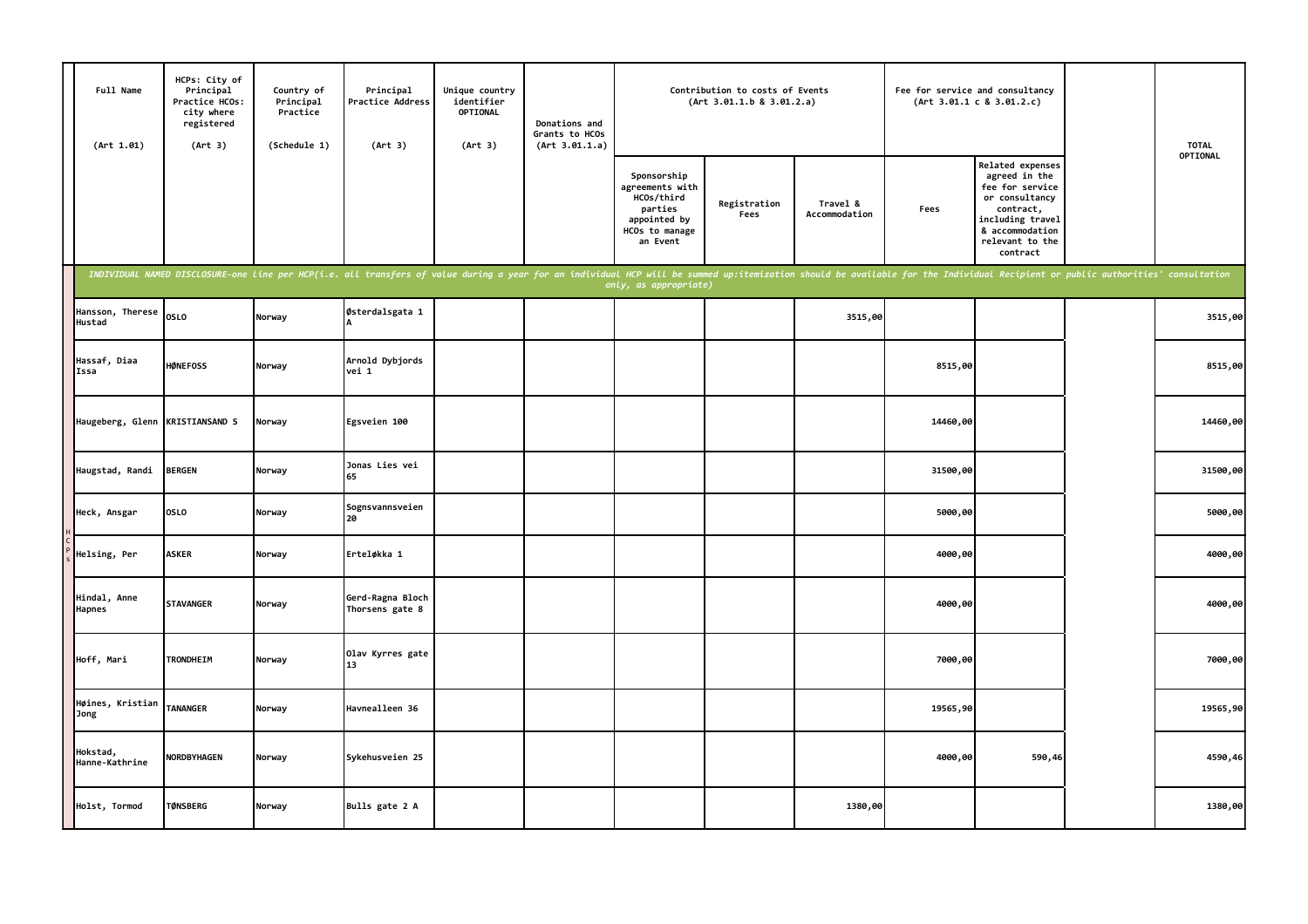| Full Name<br>(Art 1.01)       | HCPs: City of<br>Principal<br>Practice HCOs:<br>city where<br>registered<br>(Art 3)                                                                                                                                            | Country of<br>Principal<br>Practice<br>(Schedule 1) | Principal<br>Practice Address<br>(Art 3) | Unique country<br>identifier<br>OPTIONAL<br>(Art 3) | Donations and<br>Grants to HCOs<br>(Art 3.01.1.a) |                                                                                                       | Contribution to costs of Events<br>(Art 3.01.1.b 8 3.01.2.a) |                           |          | Fee for service and consultancy<br>(Art 3.01.1 c 8 3.01.2.c)                                                                                              | <b>TOTAL</b> |
|-------------------------------|--------------------------------------------------------------------------------------------------------------------------------------------------------------------------------------------------------------------------------|-----------------------------------------------------|------------------------------------------|-----------------------------------------------------|---------------------------------------------------|-------------------------------------------------------------------------------------------------------|--------------------------------------------------------------|---------------------------|----------|-----------------------------------------------------------------------------------------------------------------------------------------------------------|--------------|
|                               |                                                                                                                                                                                                                                |                                                     |                                          |                                                     |                                                   | Sponsorship<br>agreements with<br>HCOs/third<br>parties<br>appointed by<br>HCOs to manage<br>an Event | Registration<br>Fees                                         | Travel &<br>Accommodation | Fees     | Related expenses<br>agreed in the<br>fee for service<br>or consultancy<br>contract,<br>including travel<br>& accommodation<br>relevant to the<br>contract | OPTIONAL     |
|                               | INDIVIDUAL NAMED DISCLOSURE-one line per HCP(i.e. all transfers of value during a year for an individual HCP will be summed up:itemization should be available for the Individual Recipient or public authorities' consultatio |                                                     |                                          |                                                     |                                                   | only, as appropriate)                                                                                 |                                                              |                           |          |                                                                                                                                                           |              |
| Hansson, Therese<br>Hustad    | <b>OSLO</b>                                                                                                                                                                                                                    | Norway                                              | Østerdalsgata 1                          |                                                     |                                                   |                                                                                                       |                                                              | 3515,00                   |          |                                                                                                                                                           | 3515,00      |
| Hassaf, Diaa<br>Issa          | <b>HØNEFOSS</b>                                                                                                                                                                                                                | Norway                                              | Arnold Dybjords<br>vei 1                 |                                                     |                                                   |                                                                                                       |                                                              |                           | 8515,00  |                                                                                                                                                           | 8515,00      |
| Haugeberg, Glenn              | <b>KRISTIANSAND S</b>                                                                                                                                                                                                          | Norway                                              | Egsveien 100                             |                                                     |                                                   |                                                                                                       |                                                              |                           | 14460,00 |                                                                                                                                                           | 14460,00     |
| Haugstad, Randi               | <b>BERGEN</b>                                                                                                                                                                                                                  | Norway                                              | Jonas Lies vei<br>65                     |                                                     |                                                   |                                                                                                       |                                                              |                           | 31500,00 |                                                                                                                                                           | 31500,00     |
| Heck, Ansgar                  | OSLO                                                                                                                                                                                                                           | Norway                                              | Sognsvannsveien<br>20                    |                                                     |                                                   |                                                                                                       |                                                              |                           | 5000,00  |                                                                                                                                                           | 5000,00      |
| Helsing, Per                  | <b>ASKER</b>                                                                                                                                                                                                                   | Norway                                              | Erteløkka 1                              |                                                     |                                                   |                                                                                                       |                                                              |                           | 4000,00  |                                                                                                                                                           | 4000,00      |
| Hindal, Anne<br><b>Hapnes</b> | <b>STAVANGER</b>                                                                                                                                                                                                               | Norway                                              | Gerd-Ragna Bloch<br>Thorsens gate 8      |                                                     |                                                   |                                                                                                       |                                                              |                           | 4000,00  |                                                                                                                                                           | 4000,00      |
| Hoff, Mari                    | <b>TRONDHEIM</b>                                                                                                                                                                                                               | Norway                                              | Olav Kyrres gate<br>13                   |                                                     |                                                   |                                                                                                       |                                                              |                           | 7000,00  |                                                                                                                                                           | 7000,00      |
| Høines, Kristian<br>Jong      | <b>TANANGER</b>                                                                                                                                                                                                                | Norway                                              | Havnealleen 36                           |                                                     |                                                   |                                                                                                       |                                                              |                           | 19565,90 |                                                                                                                                                           | 19565,90     |
| Hokstad,<br>Hanne-Kathrine    | NORDBYHAGEN                                                                                                                                                                                                                    | Norway                                              | Sykehusveien 25                          |                                                     |                                                   |                                                                                                       |                                                              |                           | 4000,00  | 590,46                                                                                                                                                    | 4590,46      |
| Holst, Tormod                 | <b>TØNSBERG</b>                                                                                                                                                                                                                | Norway                                              | Bulls gate 2 A                           |                                                     |                                                   |                                                                                                       |                                                              | 1380,00                   |          |                                                                                                                                                           | 1380,00      |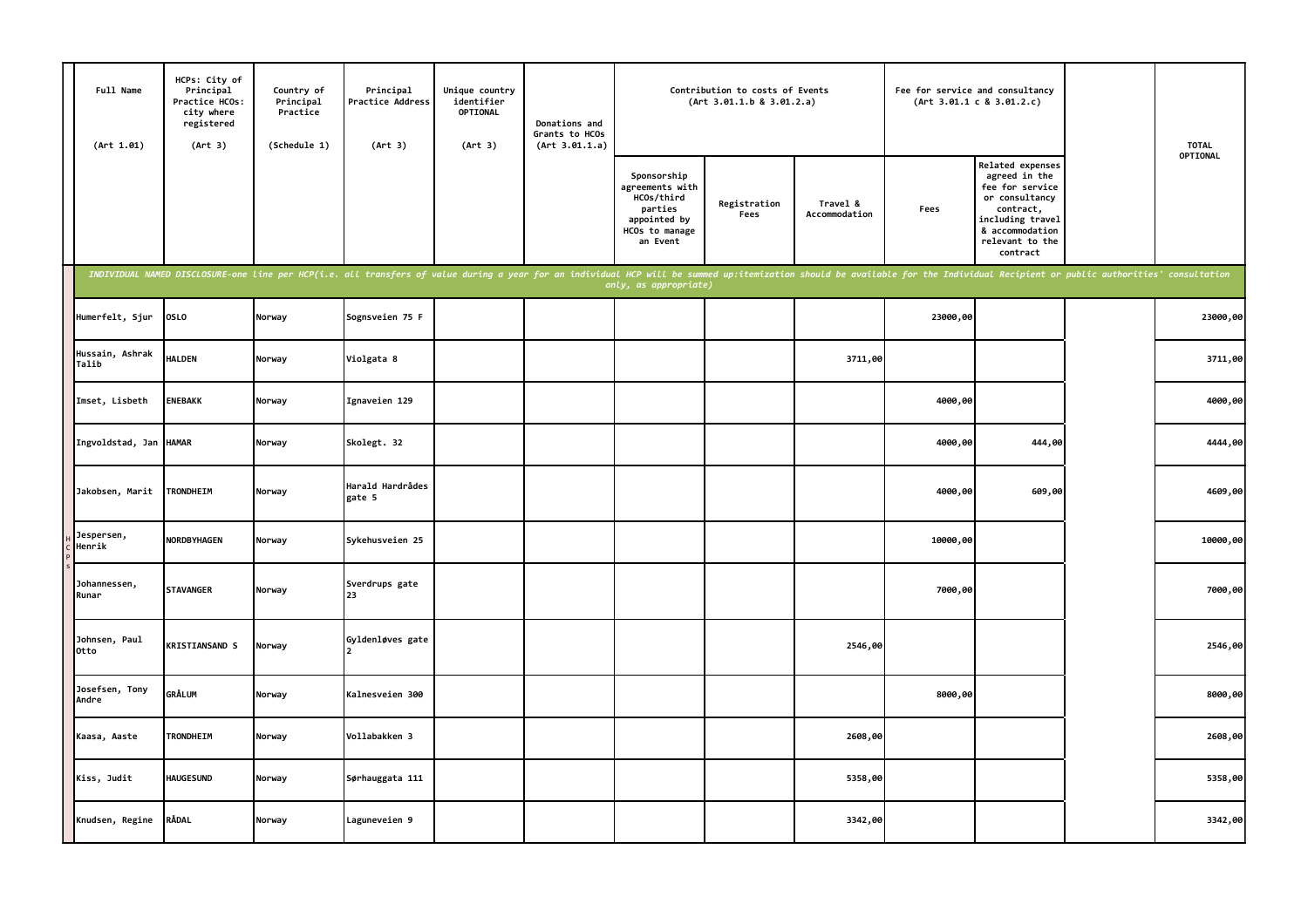|      | Full Name<br>(Art 1.01)  | HCPs: City of<br>Principal<br>Practice HCOs:<br>city where<br>registered<br>(Art 3) | Country of<br>Principal<br>Practice<br>(Schedule 1) | Principal<br>Practice Address<br>(Art 3)                                                                                                                                                                                       | Unique country<br>identifier<br>OPTIONAL<br>(Art 3) | Donations and<br>Grants to HCOs<br>(Art 3.01.1.a) |                                                                                                       | Contribution to costs of Events<br>(Art 3.01.1.b 8 3.01.2.a) |                           |          | Fee for service and consultancy<br>(Art 3.01.1 c 8 3.01.2.c)                                                                                              | <b>TOTAL</b> |
|------|--------------------------|-------------------------------------------------------------------------------------|-----------------------------------------------------|--------------------------------------------------------------------------------------------------------------------------------------------------------------------------------------------------------------------------------|-----------------------------------------------------|---------------------------------------------------|-------------------------------------------------------------------------------------------------------|--------------------------------------------------------------|---------------------------|----------|-----------------------------------------------------------------------------------------------------------------------------------------------------------|--------------|
|      |                          |                                                                                     |                                                     |                                                                                                                                                                                                                                |                                                     |                                                   | Sponsorship<br>agreements with<br>HCOs/third<br>parties<br>appointed by<br>HCOs to manage<br>an Event | Registration<br>Fees                                         | Travel &<br>Accommodation | Fees     | Related expenses<br>agreed in the<br>fee for service<br>or consultancy<br>contract,<br>including travel<br>& accommodation<br>relevant to the<br>contract | OPTIONAL     |
|      |                          |                                                                                     |                                                     | INDIVIDUAL NAMED DISCLOSURE-one line per HCP(i.e. all transfers of value during a year for an individual HCP will be summed up:itemization should be available for the Individual Recipient or public authorities' consultatio |                                                     |                                                   | only, as appropriate)                                                                                 |                                                              |                           |          |                                                                                                                                                           |              |
|      | Humerfelt, Sjur          | <b>OSLO</b>                                                                         | Norway                                              | Sognsveien 75 F                                                                                                                                                                                                                |                                                     |                                                   |                                                                                                       |                                                              |                           | 23000,00 |                                                                                                                                                           | 23000,00     |
|      | Hussain, Ashrak<br>Talib | <b>HALDEN</b>                                                                       | Norway                                              | Violgata 8                                                                                                                                                                                                                     |                                                     |                                                   |                                                                                                       |                                                              | 3711,00                   |          |                                                                                                                                                           | 3711,00      |
|      | Imset, Lisbeth           | <b>ENEBAKK</b>                                                                      | Norway                                              | Ignaveien 129                                                                                                                                                                                                                  |                                                     |                                                   |                                                                                                       |                                                              |                           | 4000,00  |                                                                                                                                                           | 4000,00      |
|      | Ingvoldstad, Jan         | <b>HAMAR</b>                                                                        | Norway                                              | Skolegt. 32                                                                                                                                                                                                                    |                                                     |                                                   |                                                                                                       |                                                              |                           | 4000,00  | 444,00                                                                                                                                                    | 4444,00      |
|      | Jakobsen, Marit          | TRONDHEIM                                                                           | Norway                                              | Harald Hardrådes<br>gate 5                                                                                                                                                                                                     |                                                     |                                                   |                                                                                                       |                                                              |                           | 4000,00  | 609,00                                                                                                                                                    | 4609,00      |
|      | Jespersen,<br>Henrik     | NORDBYHAGEN                                                                         | Norway                                              | Sykehusveien 25                                                                                                                                                                                                                |                                                     |                                                   |                                                                                                       |                                                              |                           | 10000,00 |                                                                                                                                                           | 10000,00     |
|      | Johannessen,<br>Runar    | <b>STAVANGER</b>                                                                    | Norway                                              | Sverdrups gate<br>23                                                                                                                                                                                                           |                                                     |                                                   |                                                                                                       |                                                              |                           | 7000,00  |                                                                                                                                                           | 7000,00      |
| Otto | Johnsen, Paul            | <b>KRISTIANSAND S</b>                                                               | Norway                                              | Gyldenløves gate                                                                                                                                                                                                               |                                                     |                                                   |                                                                                                       |                                                              | 2546,00                   |          |                                                                                                                                                           | 2546,00      |
|      | Josefsen, Tony<br>Andre  | GRÅLUM                                                                              | Norway                                              | Kalnesveien 300                                                                                                                                                                                                                |                                                     |                                                   |                                                                                                       |                                                              |                           | 8000,00  |                                                                                                                                                           | 8000,00      |
|      | Kaasa, Aaste             | <b>TRONDHEIM</b>                                                                    | Norway                                              | Vollabakken 3                                                                                                                                                                                                                  |                                                     |                                                   |                                                                                                       |                                                              | 2608,00                   |          |                                                                                                                                                           | 2608,00      |
|      | Kiss, Judit              | <b>HAUGESUND</b>                                                                    | Norway                                              | Sørhauggata 111                                                                                                                                                                                                                |                                                     |                                                   |                                                                                                       |                                                              | 5358,00                   |          |                                                                                                                                                           | 5358,00      |
|      | Knudsen, Regine          | RÅDAL                                                                               | Norway                                              | Laguneveien 9                                                                                                                                                                                                                  |                                                     |                                                   |                                                                                                       |                                                              | 3342,00                   |          |                                                                                                                                                           | 3342,00      |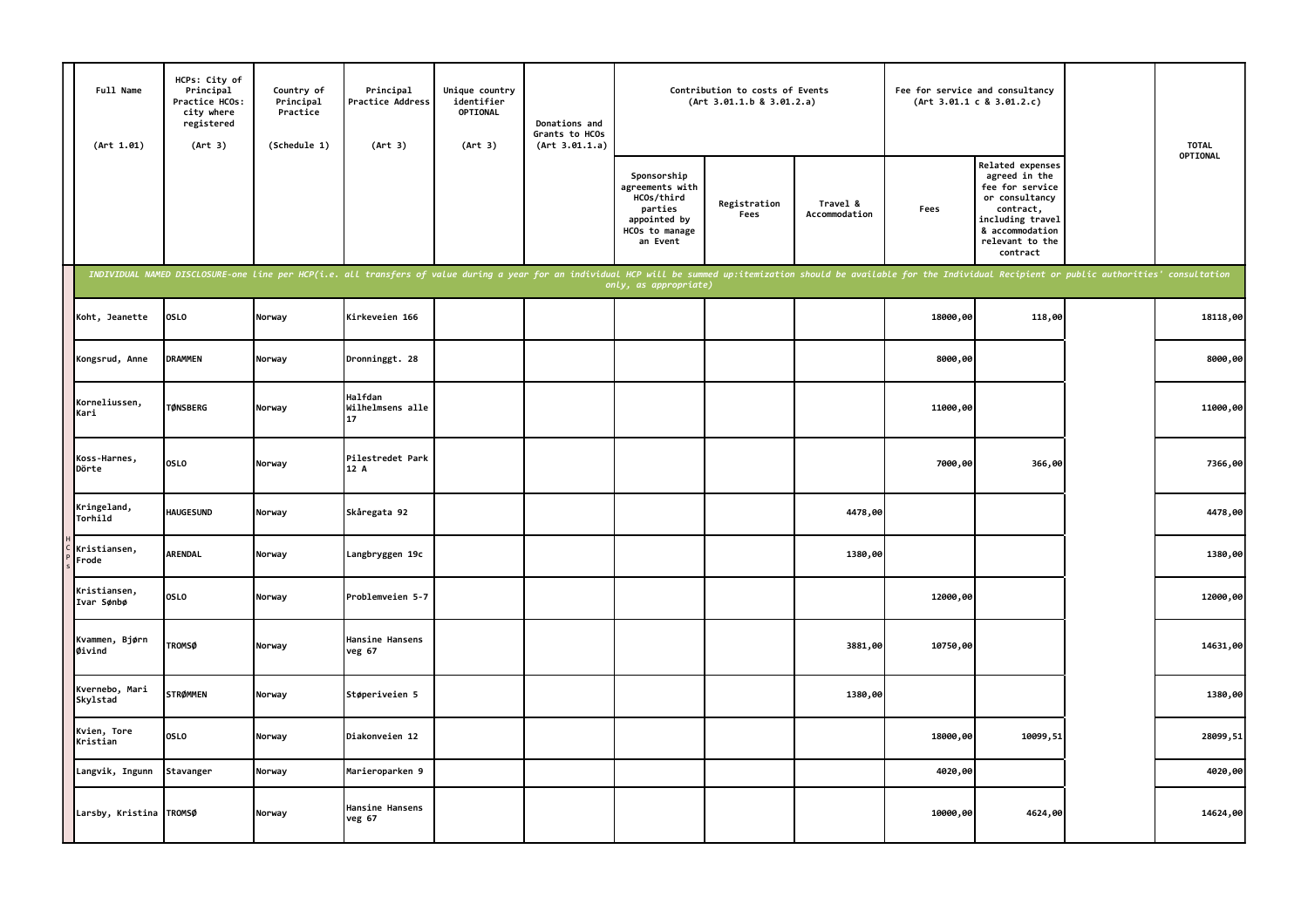| Full Name<br>(Art 1.01)    | HCPs: City of<br>Principal<br>Practice HCOs:<br>city where<br>registered<br>(Art 3) | Country of<br>Principal<br>Practice<br>(Schedule 1) | Principal<br>Practice Address<br>(Art 3)                                                                                                                                                                                       | Unique country<br>identifier<br>OPTIONAL<br>(Art 3) | Donations and<br>Grants to HCOs<br>(Art 3.01.1.a) |                                                                                                       | Contribution to costs of Events<br>(Art 3.01.1.b 8 3.01.2.a) |                           | Fee for service and consultancy | (Art 3.01.1 c 8 3.01.2.c)                                                                                                                                 | <b>TOTAL</b> |
|----------------------------|-------------------------------------------------------------------------------------|-----------------------------------------------------|--------------------------------------------------------------------------------------------------------------------------------------------------------------------------------------------------------------------------------|-----------------------------------------------------|---------------------------------------------------|-------------------------------------------------------------------------------------------------------|--------------------------------------------------------------|---------------------------|---------------------------------|-----------------------------------------------------------------------------------------------------------------------------------------------------------|--------------|
|                            |                                                                                     |                                                     |                                                                                                                                                                                                                                |                                                     |                                                   | Sponsorship<br>agreements with<br>HCOs/third<br>parties<br>appointed by<br>HCOs to manage<br>an Event | Registration<br>Fees                                         | Travel &<br>Accommodation | Fees                            | Related expenses<br>agreed in the<br>fee for service<br>or consultancy<br>contract,<br>including travel<br>& accommodation<br>relevant to the<br>contract | OPTIONAL     |
|                            |                                                                                     |                                                     | INDIVIDUAL NAMED DISCLOSURE-one line per HCP(i.e. all transfers of value during a year for an individual HCP will be summed up:itemization should be available for the Individual Recipient or public authorities' consultatio |                                                     |                                                   | only, as appropriate)                                                                                 |                                                              |                           |                                 |                                                                                                                                                           |              |
| Koht, Jeanette             | <b>OSLO</b>                                                                         | Norway                                              | Kirkeveien 166                                                                                                                                                                                                                 |                                                     |                                                   |                                                                                                       |                                                              |                           | 18000,00                        | 118,00                                                                                                                                                    | 18118,00     |
| Kongsrud, Anne             | <b>DRAMMEN</b>                                                                      | Norway                                              | Dronninggt. 28                                                                                                                                                                                                                 |                                                     |                                                   |                                                                                                       |                                                              |                           | 8000,00                         |                                                                                                                                                           | 8000,00      |
| Korneliussen,<br>Kari      | <b>TØNSBERG</b>                                                                     | Norway                                              | Halfdan<br>Wilhelmsens alle<br>17                                                                                                                                                                                              |                                                     |                                                   |                                                                                                       |                                                              |                           | 11000,00                        |                                                                                                                                                           | 11000,00     |
| Koss-Harnes,<br>Dörte      | <b>OSLO</b>                                                                         | Norway                                              | Pilestredet Park<br>12 A                                                                                                                                                                                                       |                                                     |                                                   |                                                                                                       |                                                              |                           | 7000,00                         | 366,00                                                                                                                                                    | 7366,00      |
| Kringeland,<br>Torhild     | <b>HAUGESUND</b>                                                                    | Norway                                              | Skåregata 92                                                                                                                                                                                                                   |                                                     |                                                   |                                                                                                       |                                                              | 4478,00                   |                                 |                                                                                                                                                           | 4478,00      |
| Kristiansen,<br>Frode      | <b>ARENDAL</b>                                                                      | Norway                                              | Langbryggen 19c                                                                                                                                                                                                                |                                                     |                                                   |                                                                                                       |                                                              | 1380,00                   |                                 |                                                                                                                                                           | 1380,00      |
| Kristiansen,<br>Ivar Sønbø | <b>OSLO</b>                                                                         | Norway                                              | Problemveien 5-7                                                                                                                                                                                                               |                                                     |                                                   |                                                                                                       |                                                              |                           | 12000,00                        |                                                                                                                                                           | 12000,00     |
| Kvammen, Bjørn<br>Øivind   | <b>TROMSØ</b>                                                                       | Norway                                              | Hansine Hansens<br>veg 67                                                                                                                                                                                                      |                                                     |                                                   |                                                                                                       |                                                              | 3881,00                   | 10750,00                        |                                                                                                                                                           | 14631,00     |
| Kvernebo, Mari<br>Skylstad | <b>STRØMMEN</b>                                                                     | Norway                                              | Støperiveien 5                                                                                                                                                                                                                 |                                                     |                                                   |                                                                                                       |                                                              | 1380,00                   |                                 |                                                                                                                                                           | 1380,00      |
| Kvien, Tore<br>Kristian    | <b>OSLO</b>                                                                         | Norway                                              | Diakonveien 12                                                                                                                                                                                                                 |                                                     |                                                   |                                                                                                       |                                                              |                           | 18000,00                        | 10099,51                                                                                                                                                  | 28099,51     |
| Langvik, Ingunn            | Stavanger                                                                           | Norway                                              | Marieroparken 9                                                                                                                                                                                                                |                                                     |                                                   |                                                                                                       |                                                              |                           | 4020,00                         |                                                                                                                                                           | 4020,00      |
| Larsby, Kristina TROMSØ    |                                                                                     | Norway                                              | Hansine Hansens<br>veg 67                                                                                                                                                                                                      |                                                     |                                                   |                                                                                                       |                                                              |                           | 10000,00                        | 4624,00                                                                                                                                                   | 14624,00     |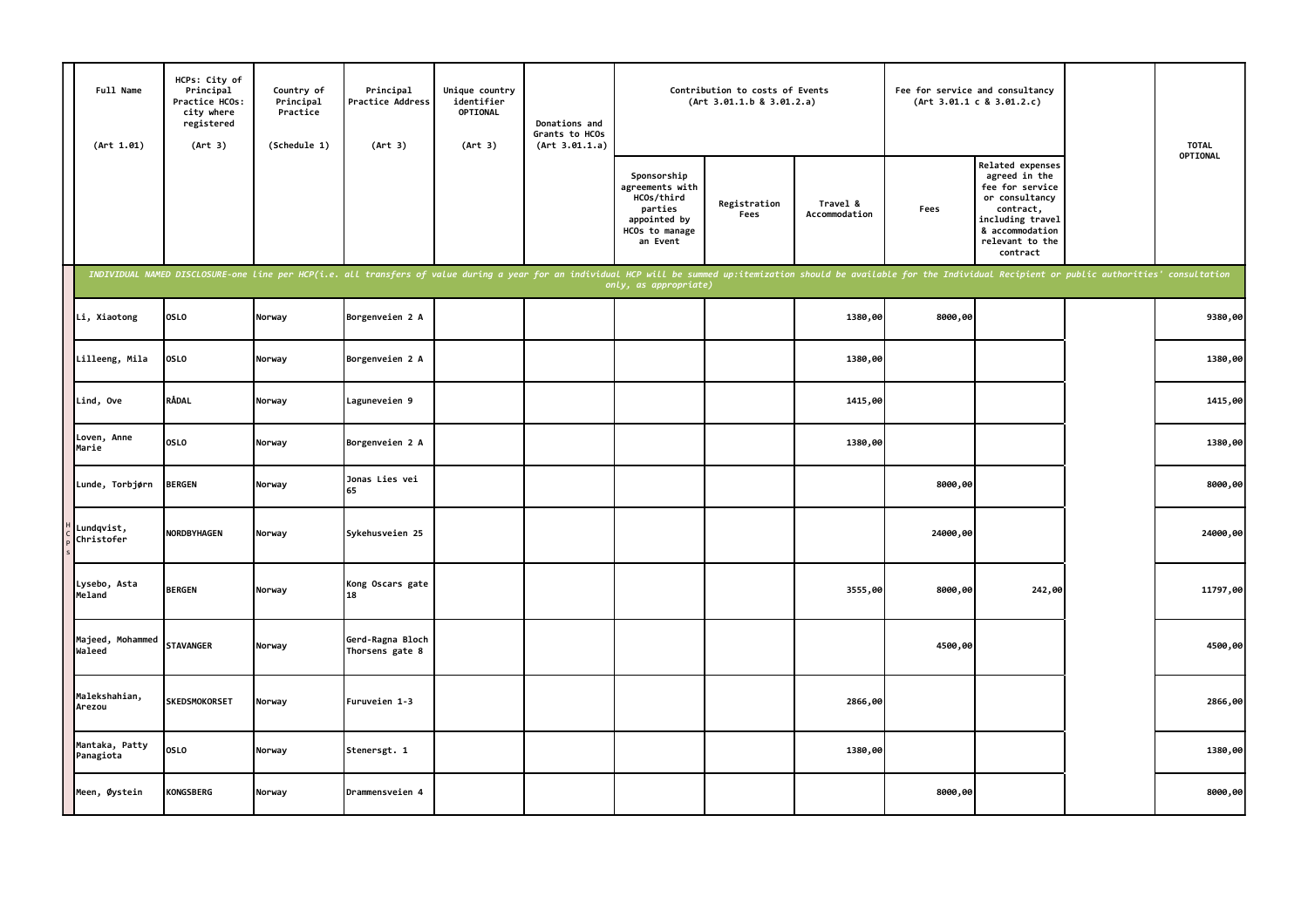| Full Name<br>(Art 1.01)     | HCPs: City of<br>Principal<br>Practice HCOs:<br>city where<br>registered<br>(Art 3) | Country of<br>Principal<br>Practice<br>(Schedule 1) | Principal<br>Practice Address<br>(Art 3)                                                                                                                                                                                       | Unique country<br>identifier<br>OPTIONAL<br>(Art 3) | Donations and<br>Grants to HCOs<br>(Art 3.01.1.a) |                                                                                                       | Contribution to costs of Events<br>(Art 3.01.1.b 8 3.01.2.a) |                           |          | Fee for service and consultancy<br>(Art 3.01.1 c 8 3.01.2.c)                                                                                                     | <b>TOTAL</b> |
|-----------------------------|-------------------------------------------------------------------------------------|-----------------------------------------------------|--------------------------------------------------------------------------------------------------------------------------------------------------------------------------------------------------------------------------------|-----------------------------------------------------|---------------------------------------------------|-------------------------------------------------------------------------------------------------------|--------------------------------------------------------------|---------------------------|----------|------------------------------------------------------------------------------------------------------------------------------------------------------------------|--------------|
|                             |                                                                                     |                                                     |                                                                                                                                                                                                                                |                                                     |                                                   | Sponsorship<br>agreements with<br>HCOs/third<br>parties<br>appointed by<br>HCOs to manage<br>an Event | Registration<br>Fees                                         | Travel &<br>Accommodation | Fees     | <b>Related expenses</b><br>agreed in the<br>fee for service<br>or consultancy<br>contract,<br>including travel<br>& accommodation<br>relevant to the<br>contract | OPTIONAL     |
|                             |                                                                                     |                                                     | INDIVIDUAL NAMED DISCLOSURE-one line per HCP(i.e. all transfers of value during a year for an individual HCP will be summed up:itemization should be available for the Individual Recipient or public authorities' consultatio |                                                     |                                                   | only, as appropriate)                                                                                 |                                                              |                           |          |                                                                                                                                                                  |              |
| Li, Xiaotong                | OSLO                                                                                | Norway                                              | Borgenveien 2 A                                                                                                                                                                                                                |                                                     |                                                   |                                                                                                       |                                                              | 1380,00                   | 8000,00  |                                                                                                                                                                  | 9380,00      |
| Lilleeng, Mila              | <b>OSLO</b>                                                                         | Norway                                              | Borgenveien 2 A                                                                                                                                                                                                                |                                                     |                                                   |                                                                                                       |                                                              | 1380,00                   |          |                                                                                                                                                                  | 1380,00      |
| Lind, Ove                   | <b>RÅDAL</b>                                                                        | Norway                                              | Laguneveien 9                                                                                                                                                                                                                  |                                                     |                                                   |                                                                                                       |                                                              | 1415,00                   |          |                                                                                                                                                                  | 1415,00      |
| Loven, Anne<br>Marie        | <b>OSLO</b>                                                                         | Norway                                              | Borgenveien 2 A                                                                                                                                                                                                                |                                                     |                                                   |                                                                                                       |                                                              | 1380,00                   |          |                                                                                                                                                                  | 1380,00      |
| Lunde, Torbjørn             | <b>BERGEN</b>                                                                       | Norway                                              | Jonas Lies vei<br>65                                                                                                                                                                                                           |                                                     |                                                   |                                                                                                       |                                                              |                           | 8000,00  |                                                                                                                                                                  | 8000,00      |
| Lundqvist,<br>Christofer    | <b>NORDBYHAGEN</b>                                                                  | Norway                                              | Sykehusveien 25                                                                                                                                                                                                                |                                                     |                                                   |                                                                                                       |                                                              |                           | 24000,00 |                                                                                                                                                                  | 24000,00     |
| Lysebo, Asta<br>Meland      | <b>BERGEN</b>                                                                       | Norway                                              | Kong Oscars gate<br>18                                                                                                                                                                                                         |                                                     |                                                   |                                                                                                       |                                                              | 3555,00                   | 8000,00  | 242,00                                                                                                                                                           | 11797,00     |
| Majeed, Mohammed<br>Waleed  | <b>STAVANGER</b>                                                                    | Norway                                              | Gerd-Ragna Bloch<br>Thorsens gate 8                                                                                                                                                                                            |                                                     |                                                   |                                                                                                       |                                                              |                           | 4500,00  |                                                                                                                                                                  | 4500,00      |
| Malekshahian,<br>Arezou     | <b>SKEDSMOKORSET</b>                                                                | Norway                                              | Furuveien 1-3                                                                                                                                                                                                                  |                                                     |                                                   |                                                                                                       |                                                              | 2866,00                   |          |                                                                                                                                                                  | 2866,00      |
| Mantaka, Patty<br>Panagiota | <b>OSLO</b>                                                                         | Norway                                              | Stenersgt. 1                                                                                                                                                                                                                   |                                                     |                                                   |                                                                                                       |                                                              | 1380,00                   |          |                                                                                                                                                                  | 1380,00      |
| Meen, Øystein               | <b>KONGSBERG</b>                                                                    | Norway                                              | Drammensveien 4                                                                                                                                                                                                                |                                                     |                                                   |                                                                                                       |                                                              |                           | 8000,00  |                                                                                                                                                                  | 8000,00      |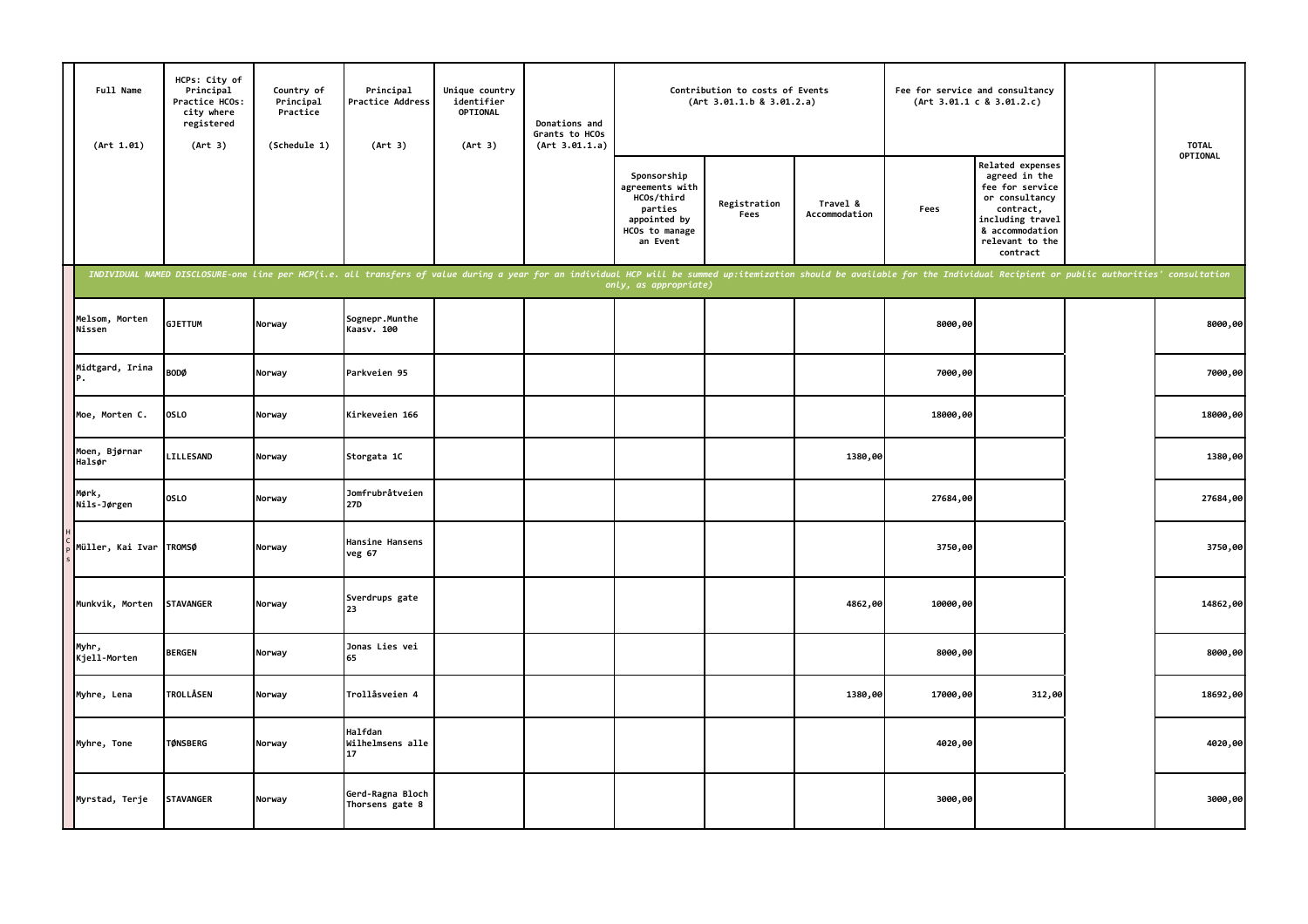| Full Name<br>(Art 1.01)  | HCPs: City of<br>Principal<br>Practice HCOs:<br>city where<br>registered<br>(Art 3) | Country of<br>Principal<br>Practice<br>(Schedule 1) | Principal<br>Practice Address<br>(Art 3)                                                                                                                                                                                       | Unique country<br>identifier<br>OPTIONAL<br>(Art 3) | Donations and<br>Grants to HCOs<br>(Art 3.01.1.a) |                                                                                                       | Contribution to costs of Events<br>(Art 3.01.1.b 8 3.01.2.a) |                           |          | Fee for service and consultancy<br>(Art 3.01.1 c 8 3.01.2.c)                                                                                              | <b>TOTAL</b> |
|--------------------------|-------------------------------------------------------------------------------------|-----------------------------------------------------|--------------------------------------------------------------------------------------------------------------------------------------------------------------------------------------------------------------------------------|-----------------------------------------------------|---------------------------------------------------|-------------------------------------------------------------------------------------------------------|--------------------------------------------------------------|---------------------------|----------|-----------------------------------------------------------------------------------------------------------------------------------------------------------|--------------|
|                          |                                                                                     |                                                     |                                                                                                                                                                                                                                |                                                     |                                                   | Sponsorship<br>agreements with<br>HCOs/third<br>parties<br>appointed by<br>HCOs to manage<br>an Event | Registration<br>Fees                                         | Travel &<br>Accommodation | Fees     | Related expenses<br>agreed in the<br>fee for service<br>or consultancy<br>contract,<br>including travel<br>& accommodation<br>relevant to the<br>contract | OPTIONAL     |
|                          |                                                                                     |                                                     | INDIVIDUAL NAMED DISCLOSURE-one line per HCP(i.e. all transfers of value during a year for an individual HCP will be summed up:itemization should be available for the Individual Recipient or public authorities' consultatio |                                                     |                                                   | only, as appropriate)                                                                                 |                                                              |                           |          |                                                                                                                                                           |              |
| Melsom, Morten<br>Nissen | <b>GJETTUM</b>                                                                      | Norway                                              | Sognepr.Munthe<br>Kaasv. 100                                                                                                                                                                                                   |                                                     |                                                   |                                                                                                       |                                                              |                           | 8000,00  |                                                                                                                                                           | 8000,00      |
| Midtgard, Irina<br>Ρ.    | <b>BODØ</b>                                                                         | Norway                                              | Parkveien 95                                                                                                                                                                                                                   |                                                     |                                                   |                                                                                                       |                                                              |                           | 7000,00  |                                                                                                                                                           | 7000,00      |
| Moe, Morten C.           | OSLO                                                                                | Norway                                              | Kirkeveien 166                                                                                                                                                                                                                 |                                                     |                                                   |                                                                                                       |                                                              |                           | 18000,00 |                                                                                                                                                           | 18000,00     |
| Moen, Bjørnar<br>Halsør  | LILLESAND                                                                           | Norway                                              | Storgata 1C                                                                                                                                                                                                                    |                                                     |                                                   |                                                                                                       |                                                              | 1380,00                   |          |                                                                                                                                                           | 1380,00      |
| Mørk,<br>Nils-Jørgen     | <b>OSLO</b>                                                                         | Norway                                              | Jomfrubråtveien<br><b>27D</b>                                                                                                                                                                                                  |                                                     |                                                   |                                                                                                       |                                                              |                           | 27684,00 |                                                                                                                                                           | 27684,00     |
| Müller, Kai Ivar         | <b>TROMSØ</b>                                                                       | Norway                                              | Hansine Hansens<br>veg 67                                                                                                                                                                                                      |                                                     |                                                   |                                                                                                       |                                                              |                           | 3750,00  |                                                                                                                                                           | 3750,00      |
| Munkvik, Morten          | <b>STAVANGER</b>                                                                    | Norway                                              | Sverdrups gate<br>23                                                                                                                                                                                                           |                                                     |                                                   |                                                                                                       |                                                              | 4862,00                   | 10000,00 |                                                                                                                                                           | 14862,00     |
| Myhr,<br>Kjell-Morten    | <b>BERGEN</b>                                                                       | Norway                                              | Jonas Lies vei<br>65                                                                                                                                                                                                           |                                                     |                                                   |                                                                                                       |                                                              |                           | 8000,00  |                                                                                                                                                           | 8000,00      |
| Myhre, Lena              | <b>TROLLÅSEN</b>                                                                    | Norway                                              | Trollåsveien 4                                                                                                                                                                                                                 |                                                     |                                                   |                                                                                                       |                                                              | 1380,00                   | 17000,00 | 312,00                                                                                                                                                    | 18692,00     |
| Myhre, Tone              | <b>TØNSBERG</b>                                                                     | Norway                                              | Halfdan<br>Wilhelmsens alle<br>17                                                                                                                                                                                              |                                                     |                                                   |                                                                                                       |                                                              |                           | 4020,00  |                                                                                                                                                           | 4020,00      |
| Myrstad, Terje           | <b>STAVANGER</b>                                                                    | Norway                                              | Gerd-Ragna Bloch<br>Thorsens gate 8                                                                                                                                                                                            |                                                     |                                                   |                                                                                                       |                                                              |                           | 3000,00  |                                                                                                                                                           | 3000,00      |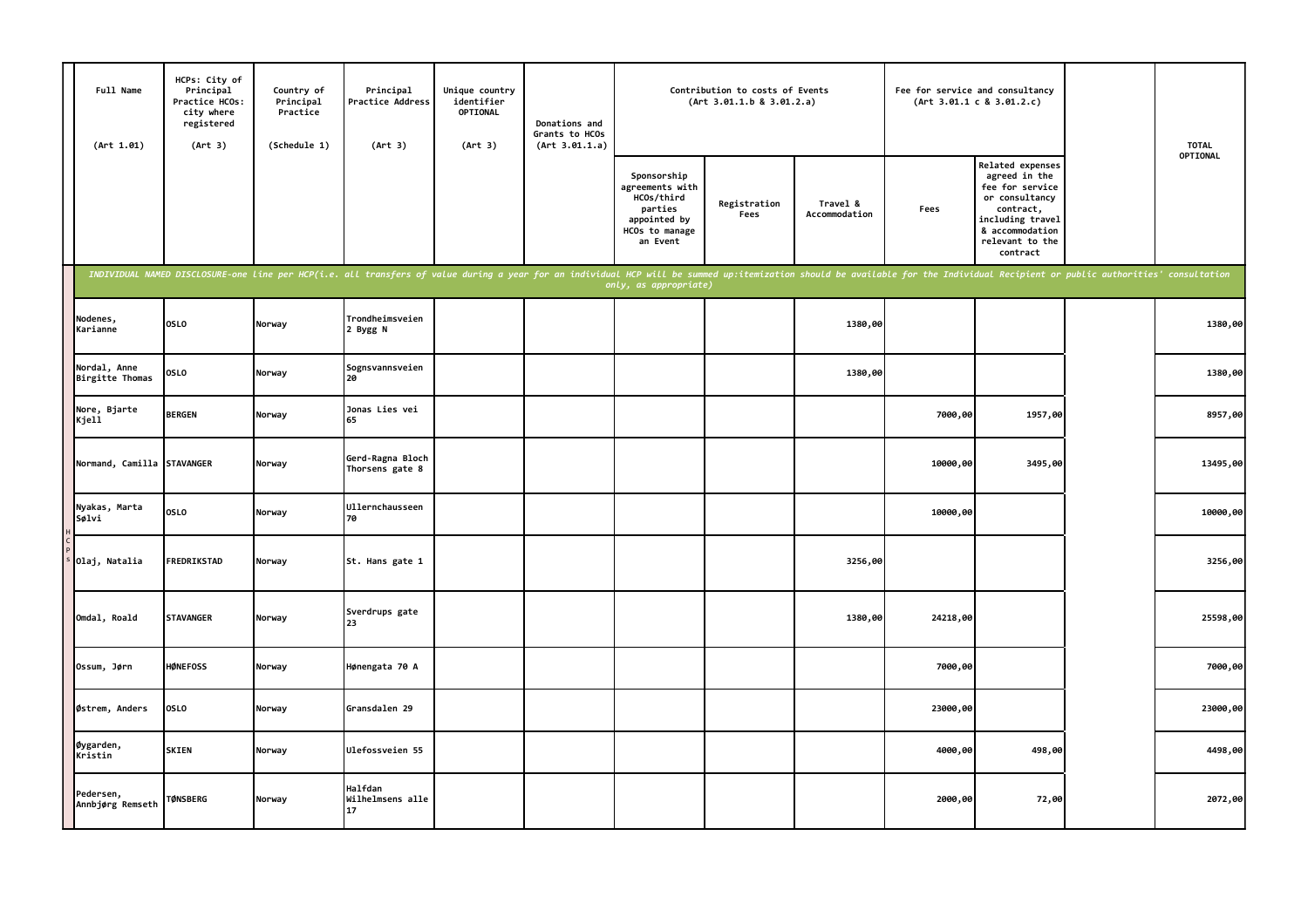| Full Name<br>(Art 1.01)         | HCPs: City of<br>Principal<br>Practice HCOs:<br>city where<br>registered<br>(Art 3) | Country of<br>Principal<br>Practice<br>(Schedule 1) | Principal<br>Practice Address<br>(Art 3)                                                                                                                                                                                       | Unique country<br>identifier<br>OPTIONAL<br>(Art 3) | Donations and<br>Grants to HCOs<br>(Art 3.01.1.a) |                                                                                                       | Contribution to costs of Events<br>(Art 3.01.1.b 8 3.01.2.a) |                           | Fee for service and consultancy | (Art 3.01.1 c 8 3.01.2.c)                                                                                                                                        | <b>TOTAL</b> |
|---------------------------------|-------------------------------------------------------------------------------------|-----------------------------------------------------|--------------------------------------------------------------------------------------------------------------------------------------------------------------------------------------------------------------------------------|-----------------------------------------------------|---------------------------------------------------|-------------------------------------------------------------------------------------------------------|--------------------------------------------------------------|---------------------------|---------------------------------|------------------------------------------------------------------------------------------------------------------------------------------------------------------|--------------|
|                                 |                                                                                     |                                                     |                                                                                                                                                                                                                                |                                                     |                                                   | Sponsorship<br>agreements with<br>HCOs/third<br>parties<br>appointed by<br>HCOs to manage<br>an Event | Registration<br>Fees                                         | Travel &<br>Accommodation | Fees                            | <b>Related expenses</b><br>agreed in the<br>fee for service<br>or consultancy<br>contract,<br>including travel<br>& accommodation<br>relevant to the<br>contract | OPTIONAL     |
|                                 |                                                                                     |                                                     | INDIVIDUAL NAMED DISCLOSURE-one line per HCP(i.e. all transfers of value during a year for an individual HCP will be summed up:itemization should be available for the Individual Recipient or public authorities' consultatio |                                                     |                                                   | only, as appropriate)                                                                                 |                                                              |                           |                                 |                                                                                                                                                                  |              |
| Nodenes,<br>Karianne            | <b>OSLO</b>                                                                         | Norway                                              | Trondheimsveien<br>2 Bygg N                                                                                                                                                                                                    |                                                     |                                                   |                                                                                                       |                                                              | 1380,00                   |                                 |                                                                                                                                                                  | 1380,00      |
| Nordal, Anne<br>Birgitte Thomas | <b>OSLO</b>                                                                         | Norway                                              | Sognsvannsveien<br>20                                                                                                                                                                                                          |                                                     |                                                   |                                                                                                       |                                                              | 1380,00                   |                                 |                                                                                                                                                                  | 1380,00      |
| Nore, Bjarte<br>Kjell           | <b>BERGEN</b>                                                                       | Norway                                              | Jonas Lies vei<br>65                                                                                                                                                                                                           |                                                     |                                                   |                                                                                                       |                                                              |                           | 7000,00                         | 1957,00                                                                                                                                                          | 8957,00      |
| Normand, Camilla STAVANGER      |                                                                                     | Norway                                              | Gerd-Ragna Bloch<br>Thorsens gate 8                                                                                                                                                                                            |                                                     |                                                   |                                                                                                       |                                                              |                           | 10000,00                        | 3495,00                                                                                                                                                          | 13495,00     |
| Nyakas, Marta<br>Sølvi          | <b>OSLO</b>                                                                         | Norway                                              | Ullernchausseen<br>70                                                                                                                                                                                                          |                                                     |                                                   |                                                                                                       |                                                              |                           | 10000,00                        |                                                                                                                                                                  | 10000,00     |
| Olaj, Natalia                   | FREDRIKSTAD                                                                         | Norway                                              | St. Hans gate 1                                                                                                                                                                                                                |                                                     |                                                   |                                                                                                       |                                                              | 3256,00                   |                                 |                                                                                                                                                                  | 3256,00      |
| Omdal, Roald                    | <b>STAVANGER</b>                                                                    | Norway                                              | Sverdrups gate<br>つろ                                                                                                                                                                                                           |                                                     |                                                   |                                                                                                       |                                                              | 1380,00                   | 24218,00                        |                                                                                                                                                                  | 25598,00     |
| Ossum, Jørn                     | <b>HØNEFOSS</b>                                                                     | Norway                                              | Hønengata 70 A                                                                                                                                                                                                                 |                                                     |                                                   |                                                                                                       |                                                              |                           | 7000,00                         |                                                                                                                                                                  | 7000,00      |
| Østrem, Anders                  | <b>OSLO</b>                                                                         | Norway                                              | Gransdalen 29                                                                                                                                                                                                                  |                                                     |                                                   |                                                                                                       |                                                              |                           | 23000,00                        |                                                                                                                                                                  | 23000,00     |
| Øygarden,<br>Kristin            | <b>SKIEN</b>                                                                        | Norway                                              | Ulefossveien 55                                                                                                                                                                                                                |                                                     |                                                   |                                                                                                       |                                                              |                           | 4000,00                         | 498,00                                                                                                                                                           | 4498,00      |
| Pedersen,<br>Annbjørg Remseth   | <b>TØNSBERG</b>                                                                     | Norway                                              | Halfdan<br>Wilhelmsens alle<br>17                                                                                                                                                                                              |                                                     |                                                   |                                                                                                       |                                                              |                           | 2000,00                         | 72,00                                                                                                                                                            | 2072,00      |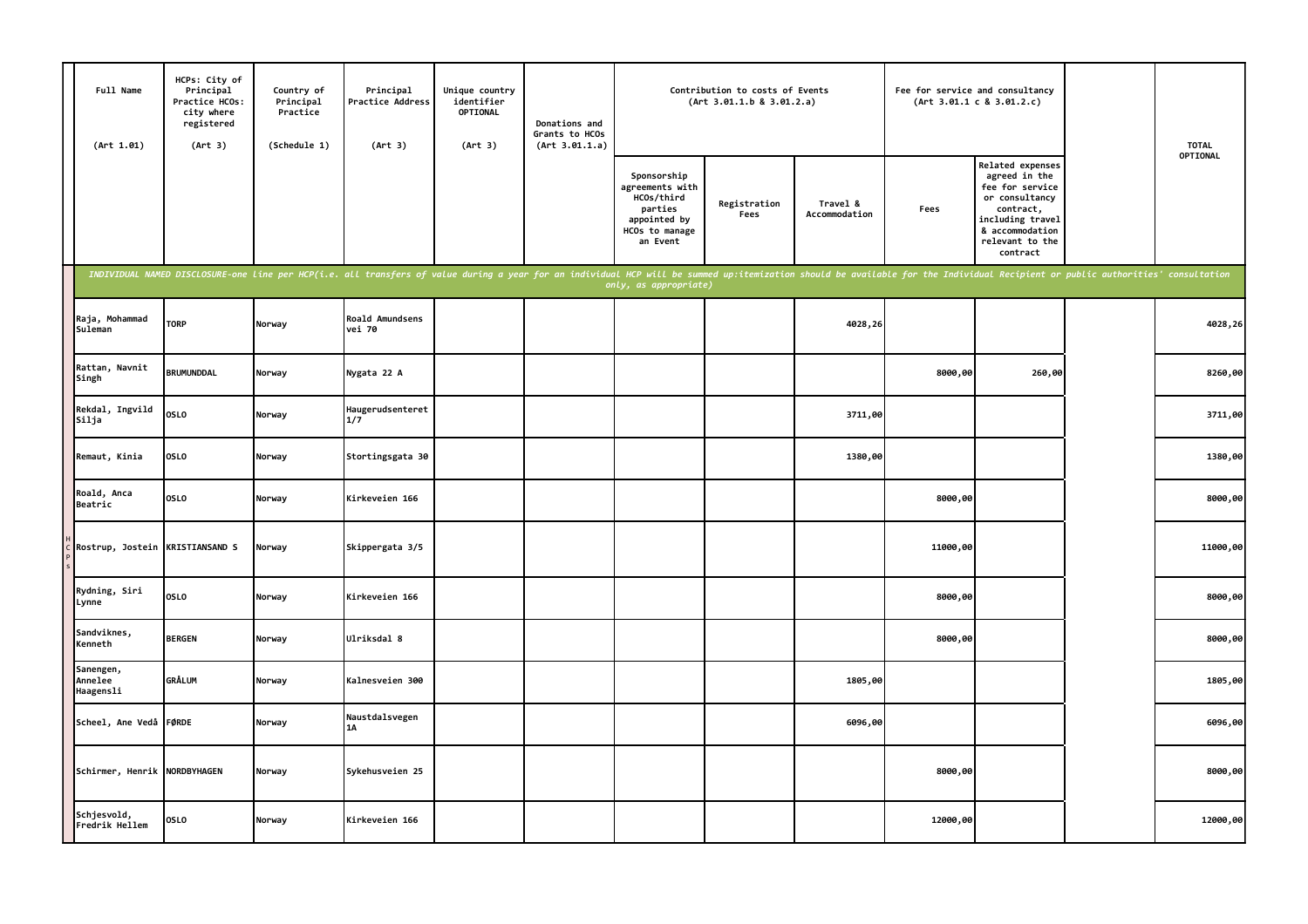| Full Name<br>(Art 1.01)           | HCPs: City of<br>Principal<br>Practice HCOs:<br>city where<br>registered<br>(Art 3) | Country of<br>Principal<br>Practice<br>(Schedule 1) | Principal<br>Practice Address<br>(Art 3)                                                                                                                                                                                       | Unique country<br>identifier<br>OPTIONAL<br>(Art 3) | Donations and<br>Grants to HCOs<br>(Art 3.01.1.a) | Contribution to costs of Events<br>(Art 3.01.1.b 8 3.01.2.a)                                          |                      |                           | Fee for service and consultancy | (Art 3.01.1 c 8 3.01.2.c)                                                                                                                                 | <b>TOTAL</b> |
|-----------------------------------|-------------------------------------------------------------------------------------|-----------------------------------------------------|--------------------------------------------------------------------------------------------------------------------------------------------------------------------------------------------------------------------------------|-----------------------------------------------------|---------------------------------------------------|-------------------------------------------------------------------------------------------------------|----------------------|---------------------------|---------------------------------|-----------------------------------------------------------------------------------------------------------------------------------------------------------|--------------|
|                                   |                                                                                     |                                                     |                                                                                                                                                                                                                                |                                                     |                                                   | Sponsorship<br>agreements with<br>HCOs/third<br>parties<br>appointed by<br>HCOs to manage<br>an Event | Registration<br>Fees | Travel &<br>Accommodation | Fees                            | Related expenses<br>agreed in the<br>fee for service<br>or consultancy<br>contract,<br>including travel<br>& accommodation<br>relevant to the<br>contract | OPTIONAL     |
|                                   |                                                                                     |                                                     | INDIVIDUAL NAMED DISCLOSURE-one line per HCP(i.e. all transfers of value during a year for an individual HCP will be summed up:itemization should be available for the Individual Recipient or public authorities' consultatio |                                                     |                                                   | only, as appropriate)                                                                                 |                      |                           |                                 |                                                                                                                                                           |              |
| Raja, Mohammad<br>Suleman         | <b>TORP</b>                                                                         | Norway                                              | Roald Amundsens<br>vei 70                                                                                                                                                                                                      |                                                     |                                                   |                                                                                                       |                      | 4028,26                   |                                 |                                                                                                                                                           | 4028,26      |
| Rattan, Navnit<br>Singh           | <b>BRUMUNDDAL</b>                                                                   | Norway                                              | Nygata 22 A                                                                                                                                                                                                                    |                                                     |                                                   |                                                                                                       |                      |                           | 8000,00                         | 260,00                                                                                                                                                    | 8260,00      |
| Rekdal, Ingvild<br>Silja          | <b>OSLO</b>                                                                         | Norway                                              | Haugerudsenteret<br>1/7                                                                                                                                                                                                        |                                                     |                                                   |                                                                                                       |                      | 3711,00                   |                                 |                                                                                                                                                           | 3711,00      |
| Remaut, Kinia                     | <b>OSLO</b>                                                                         | Norway                                              | Stortingsgata 30                                                                                                                                                                                                               |                                                     |                                                   |                                                                                                       |                      | 1380,00                   |                                 |                                                                                                                                                           | 1380,00      |
| Roald, Anca<br>Beatric            | <b>OSLO</b>                                                                         | Norway                                              | Kirkeveien 166                                                                                                                                                                                                                 |                                                     |                                                   |                                                                                                       |                      |                           | 8000,00                         |                                                                                                                                                           | 8000,00      |
| Rostrup, Jostein                  | <b>KRISTIANSAND S</b>                                                               | Norway                                              | Skippergata 3/5                                                                                                                                                                                                                |                                                     |                                                   |                                                                                                       |                      |                           | 11000,00                        |                                                                                                                                                           | 11000,00     |
| Rydning, Siri<br>Lynne            | <b>OSLO</b>                                                                         | Norway                                              | Kirkeveien 166                                                                                                                                                                                                                 |                                                     |                                                   |                                                                                                       |                      |                           | 8000,00                         |                                                                                                                                                           | 8000,00      |
| Sandviknes,<br>Kenneth            | <b>BERGEN</b>                                                                       | Norway                                              | Ulriksdal 8                                                                                                                                                                                                                    |                                                     |                                                   |                                                                                                       |                      |                           | 8000,00                         |                                                                                                                                                           | 8000,00      |
| Sanengen,<br>Annelee<br>Haagensli | <b>GRÅLUM</b>                                                                       | Norway                                              | Kalnesveien 300                                                                                                                                                                                                                |                                                     |                                                   |                                                                                                       |                      | 1805,00                   |                                 |                                                                                                                                                           | 1805,00      |
| Scheel, Ane Vedå FØRDE            |                                                                                     | Norway                                              | Naustdalsvegen<br>1A                                                                                                                                                                                                           |                                                     |                                                   |                                                                                                       |                      | 6096,00                   |                                 |                                                                                                                                                           | 6096,00      |
| Schirmer, Henrik NORDBYHAGEN      |                                                                                     | Norway                                              | Sykehusveien 25                                                                                                                                                                                                                |                                                     |                                                   |                                                                                                       |                      |                           | 8000,00                         |                                                                                                                                                           | 8000,00      |
| Schjesvold,<br>Fredrik Hellem     | <b>OSLO</b>                                                                         | Norway                                              | Kirkeveien 166                                                                                                                                                                                                                 |                                                     |                                                   |                                                                                                       |                      |                           | 12000,00                        |                                                                                                                                                           | 12000,00     |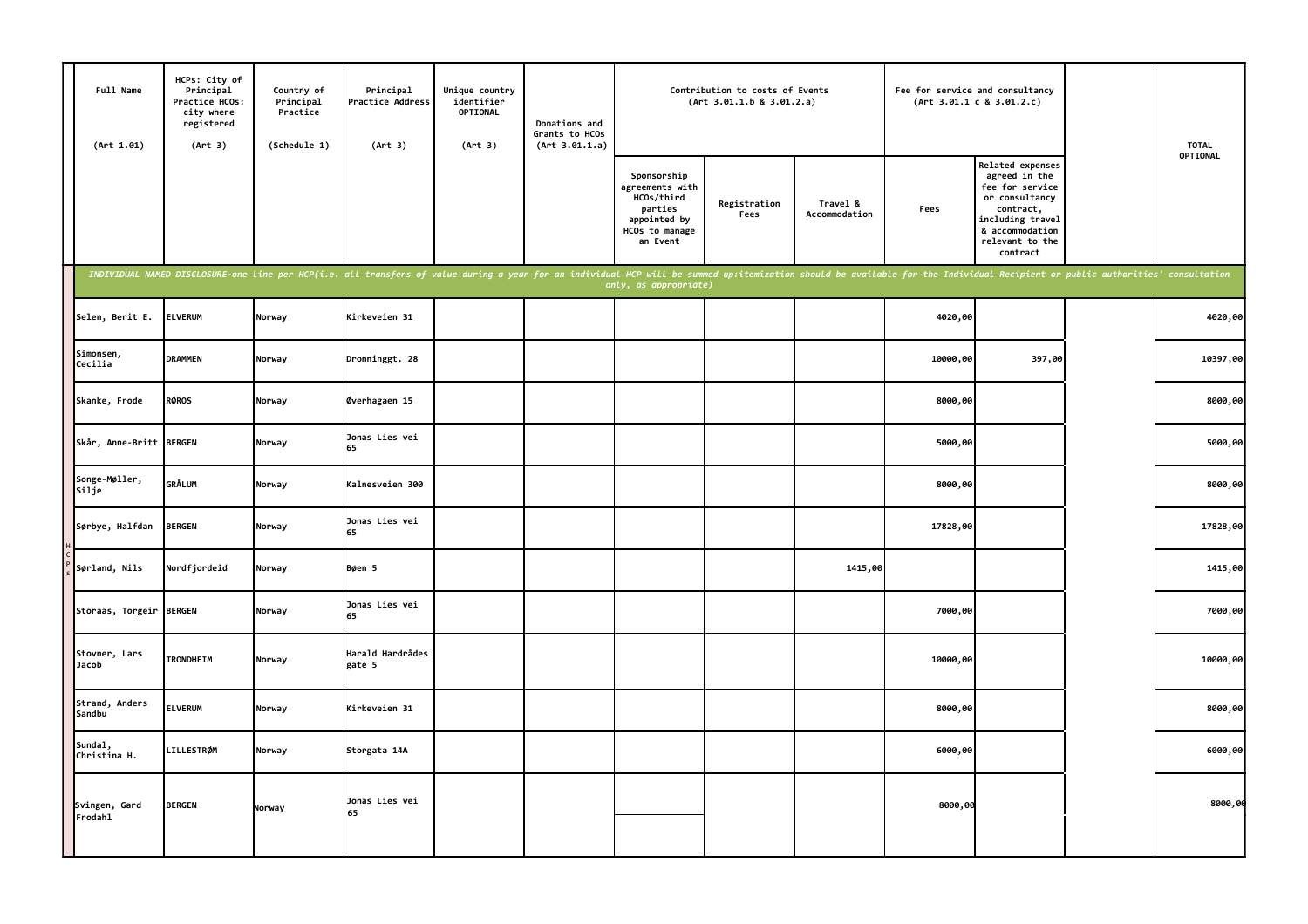| Full Name<br>(Art 1.01)  | HCPs: City of<br>Principal<br>Practice HCOs:<br>city where<br>registered<br>(Art 3) | Country of<br>Principal<br>Practice<br>(Schedule 1) | Principal<br>Practice Address<br>(Art 3)                                                                                                                                                                                       | Unique country<br>identifier<br>OPTIONAL<br>(Art 3) | Donations and<br>Grants to HCOs<br>(Art 3.01.1.a) | Contribution to costs of Events<br>(Art 3.01.1.b 8 3.01.2.a)                                          |                      |                           |          | Fee for service and consultancy<br>(Art 3.01.1 c 8 3.01.2.c)                                                                                                     | <b>TOTAL</b><br>OPTIONAL |
|--------------------------|-------------------------------------------------------------------------------------|-----------------------------------------------------|--------------------------------------------------------------------------------------------------------------------------------------------------------------------------------------------------------------------------------|-----------------------------------------------------|---------------------------------------------------|-------------------------------------------------------------------------------------------------------|----------------------|---------------------------|----------|------------------------------------------------------------------------------------------------------------------------------------------------------------------|--------------------------|
|                          |                                                                                     |                                                     |                                                                                                                                                                                                                                |                                                     |                                                   | Sponsorship<br>agreements with<br>HCOs/third<br>parties<br>appointed by<br>HCOs to manage<br>an Event | Registration<br>Fees | Travel &<br>Accommodation | Fees     | <b>Related expenses</b><br>agreed in the<br>fee for service<br>or consultancy<br>contract,<br>including travel<br>& accommodation<br>relevant to the<br>contract |                          |
|                          |                                                                                     |                                                     | INDIVIDUAL NAMED DISCLOSURE-one line per HCP(i.e. all transfers of value during a year for an individual HCP will be summed up:itemization should be available for the Individual Recipient or public authorities' consultatio |                                                     |                                                   | only, as appropriate)                                                                                 |                      |                           |          |                                                                                                                                                                  |                          |
| Selen, Berit E.          | <b>ELVERUM</b>                                                                      | Norway                                              | Kirkeveien 31                                                                                                                                                                                                                  |                                                     |                                                   |                                                                                                       |                      |                           | 4020,00  |                                                                                                                                                                  | 4020,00                  |
| Simonsen,<br>Cecilia     | <b>DRAMMEN</b>                                                                      | Norway                                              | Dronninggt. 28                                                                                                                                                                                                                 |                                                     |                                                   |                                                                                                       |                      |                           | 10000,00 | 397,00                                                                                                                                                           | 10397,00                 |
| Skanke, Frode            | <b>RØROS</b>                                                                        | Norway                                              | Øverhagaen 15                                                                                                                                                                                                                  |                                                     |                                                   |                                                                                                       |                      |                           | 8000,00  |                                                                                                                                                                  | 8000,00                  |
| Skår, Anne-Britt BERGEN  |                                                                                     | Norway                                              | Jonas Lies vei<br>65                                                                                                                                                                                                           |                                                     |                                                   |                                                                                                       |                      |                           | 5000,00  |                                                                                                                                                                  | 5000,00                  |
| Songe-Møller,<br>Silje   | <b>GRÅLUM</b>                                                                       | Norway                                              | Kalnesveien 300                                                                                                                                                                                                                |                                                     |                                                   |                                                                                                       |                      |                           | 8000,00  |                                                                                                                                                                  | 8000,00                  |
| Sørbye, Halfdan          | <b>BERGEN</b>                                                                       | Norway                                              | Jonas Lies vei<br>65                                                                                                                                                                                                           |                                                     |                                                   |                                                                                                       |                      |                           | 17828,00 |                                                                                                                                                                  | 17828,00                 |
| Sørland, Nils            | Nordfjordeid                                                                        | Norway                                              | Bøen 5                                                                                                                                                                                                                         |                                                     |                                                   |                                                                                                       |                      | 1415,00                   |          |                                                                                                                                                                  | 1415,00                  |
| Storaas, Torgeir BERGEN  |                                                                                     | Norway                                              | Jonas Lies vei<br>65                                                                                                                                                                                                           |                                                     |                                                   |                                                                                                       |                      |                           | 7000,00  |                                                                                                                                                                  | 7000,00                  |
| Stovner, Lars<br>Jacob   | <b>TRONDHEIM</b>                                                                    | Norway                                              | Harald Hardrådes<br>gate 5                                                                                                                                                                                                     |                                                     |                                                   |                                                                                                       |                      |                           | 10000,00 |                                                                                                                                                                  | 10000,00                 |
| Strand, Anders<br>Sandbu | <b>ELVERUM</b>                                                                      | Norway                                              | Kirkeveien 31                                                                                                                                                                                                                  |                                                     |                                                   |                                                                                                       |                      |                           | 8000,00  |                                                                                                                                                                  | 8000,00                  |
| Sundal,<br>Christina H.  | <b>LILLESTRØM</b>                                                                   | Norway                                              | Storgata 14A                                                                                                                                                                                                                   |                                                     |                                                   |                                                                                                       |                      |                           | 6000,00  |                                                                                                                                                                  | 6000,00                  |
| Svingen, Gard<br>Frodahl | <b>BERGEN</b>                                                                       | Norway                                              | Jonas Lies vei<br>65                                                                                                                                                                                                           |                                                     |                                                   |                                                                                                       |                      |                           | 8000,00  |                                                                                                                                                                  | 8000,00                  |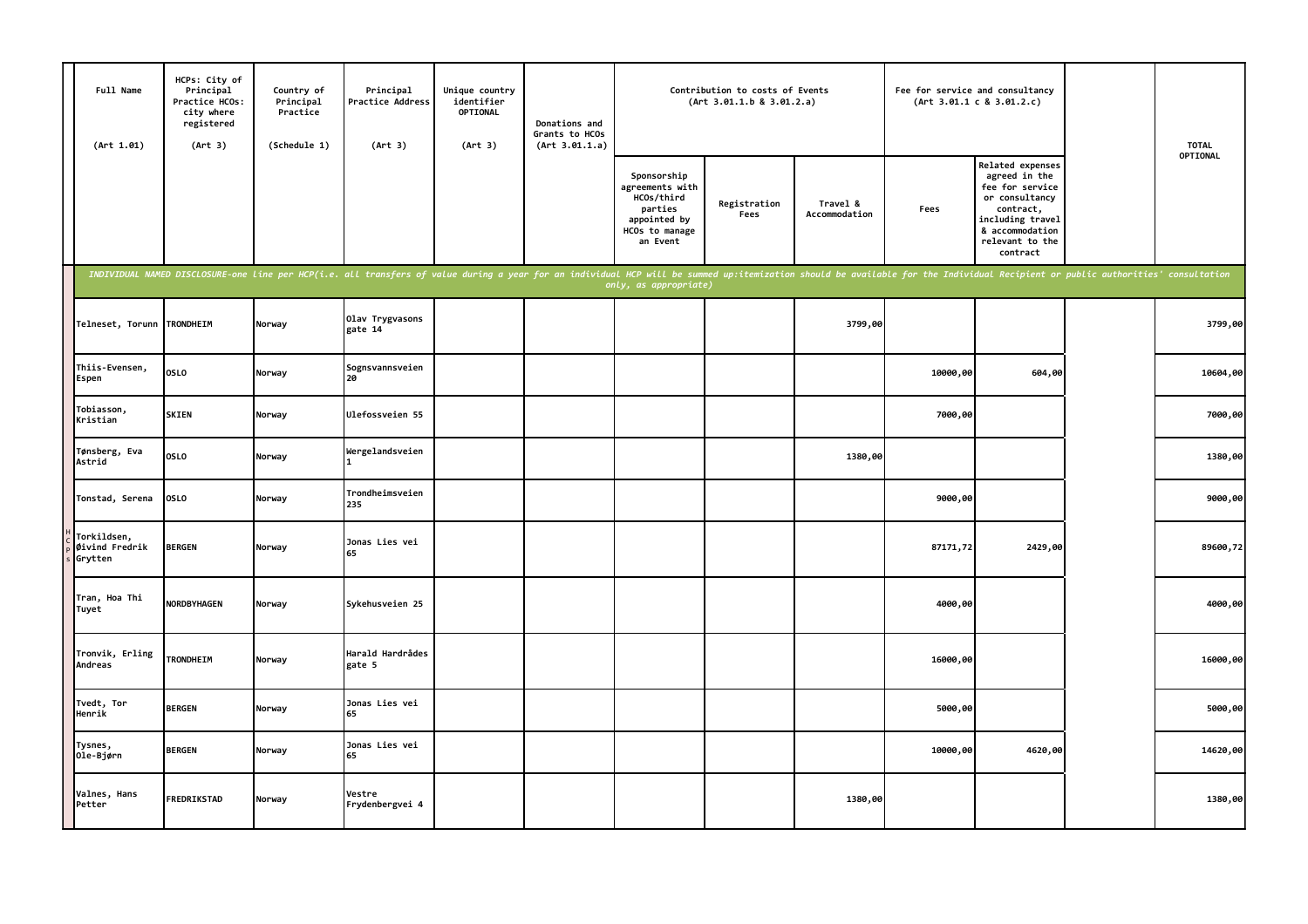| Full Name<br>(Art 1.01)                  | HCPs: City of<br>Principal<br>Practice HCOs:<br>city where<br>registered<br>(Art 3) | Country of<br>Principal<br>Practice<br>(Schedule 1) | Principal<br><b>Practice Address</b><br>(Art 3)                                                                                                                                                                                | Unique country<br>identifier<br>OPTIONAL<br>(Art 3) | Donations and<br>Grants to HCOs<br>(Art 3.01.1.a) |                                                                                                       | Contribution to costs of Events<br>(Art 3.01.1.b 8 3.01.2.a) |                           | Fee for service and consultancy | (Art 3.01.1 c 8 3.01.2.c)                                                                                                                                        | <b>TOTAL</b> |
|------------------------------------------|-------------------------------------------------------------------------------------|-----------------------------------------------------|--------------------------------------------------------------------------------------------------------------------------------------------------------------------------------------------------------------------------------|-----------------------------------------------------|---------------------------------------------------|-------------------------------------------------------------------------------------------------------|--------------------------------------------------------------|---------------------------|---------------------------------|------------------------------------------------------------------------------------------------------------------------------------------------------------------|--------------|
|                                          |                                                                                     |                                                     |                                                                                                                                                                                                                                |                                                     |                                                   | Sponsorship<br>agreements with<br>HCOs/third<br>parties<br>appointed by<br>HCOs to manage<br>an Event | Registration<br>Fees                                         | Travel &<br>Accommodation | Fees                            | <b>Related expenses</b><br>agreed in the<br>fee for service<br>or consultancy<br>contract,<br>including travel<br>& accommodation<br>relevant to the<br>contract | OPTIONAL     |
|                                          |                                                                                     |                                                     | INDIVIDUAL NAMED DISCLOSURE-one line per HCP(i.e. all transfers of value during a year for an individual HCP will be summed up:itemization should be available for the Individual Recipient or public authorities' consultatio |                                                     |                                                   | only, as appropriate)                                                                                 |                                                              |                           |                                 |                                                                                                                                                                  |              |
| Telneset, Torunn TRONDHEIM               |                                                                                     | Norway                                              | Olav Trygvasons<br>gate 14                                                                                                                                                                                                     |                                                     |                                                   |                                                                                                       |                                                              | 3799,00                   |                                 |                                                                                                                                                                  | 3799,00      |
| Thiis-Evensen,<br>Espen                  | OSLO                                                                                | Norway                                              | Sognsvannsveien<br>20                                                                                                                                                                                                          |                                                     |                                                   |                                                                                                       |                                                              |                           | 10000,00                        | 604,00                                                                                                                                                           | 10604,00     |
| Tobiasson,<br>Kristian                   | <b>SKIEN</b>                                                                        | Norway                                              | Ulefossveien 55                                                                                                                                                                                                                |                                                     |                                                   |                                                                                                       |                                                              |                           | 7000,00                         |                                                                                                                                                                  | 7000,00      |
| Tønsberg, Eva<br>Astrid                  | OSLO                                                                                | Norway                                              | Wergelandsveien                                                                                                                                                                                                                |                                                     |                                                   |                                                                                                       |                                                              | 1380,00                   |                                 |                                                                                                                                                                  | 1380,00      |
| Tonstad, Serena                          | <b>OSLO</b>                                                                         | Norway                                              | Trondheimsveien<br>235                                                                                                                                                                                                         |                                                     |                                                   |                                                                                                       |                                                              |                           | 9000,00                         |                                                                                                                                                                  | 9000,00      |
| Torkildsen,<br>Øivind Fredrik<br>Grytten | <b>BERGEN</b>                                                                       | Norway                                              | Jonas Lies vei<br>65                                                                                                                                                                                                           |                                                     |                                                   |                                                                                                       |                                                              |                           | 87171,72                        | 2429,00                                                                                                                                                          | 89600,72     |
| Tran, Hoa Thi<br>Tuyet                   | <b>NORDBYHAGEN</b>                                                                  | Norway                                              | Sykehusveien 25                                                                                                                                                                                                                |                                                     |                                                   |                                                                                                       |                                                              |                           | 4000,00                         |                                                                                                                                                                  | 4000,00      |
| Tronvik, Erling<br>Andreas               | <b>TRONDHEIM</b>                                                                    | Norway                                              | Harald Hardrådes<br>gate 5                                                                                                                                                                                                     |                                                     |                                                   |                                                                                                       |                                                              |                           | 16000,00                        |                                                                                                                                                                  | 16000,00     |
| Tvedt, Tor<br>Henrik                     | <b>BERGEN</b>                                                                       | Norway                                              | Jonas Lies vei<br>65                                                                                                                                                                                                           |                                                     |                                                   |                                                                                                       |                                                              |                           | 5000,00                         |                                                                                                                                                                  | 5000,00      |
| Tysnes,<br>Ole-Bjørn                     | <b>BERGEN</b>                                                                       | Norway                                              | Jonas Lies vei<br>65                                                                                                                                                                                                           |                                                     |                                                   |                                                                                                       |                                                              |                           | 10000,00                        | 4620,00                                                                                                                                                          | 14620,00     |
| Valnes, Hans<br>Petter                   | <b>FREDRIKSTAD</b>                                                                  | Norway                                              | Vestre<br>Frydenbergvei 4                                                                                                                                                                                                      |                                                     |                                                   |                                                                                                       |                                                              | 1380,00                   |                                 |                                                                                                                                                                  | 1380,00      |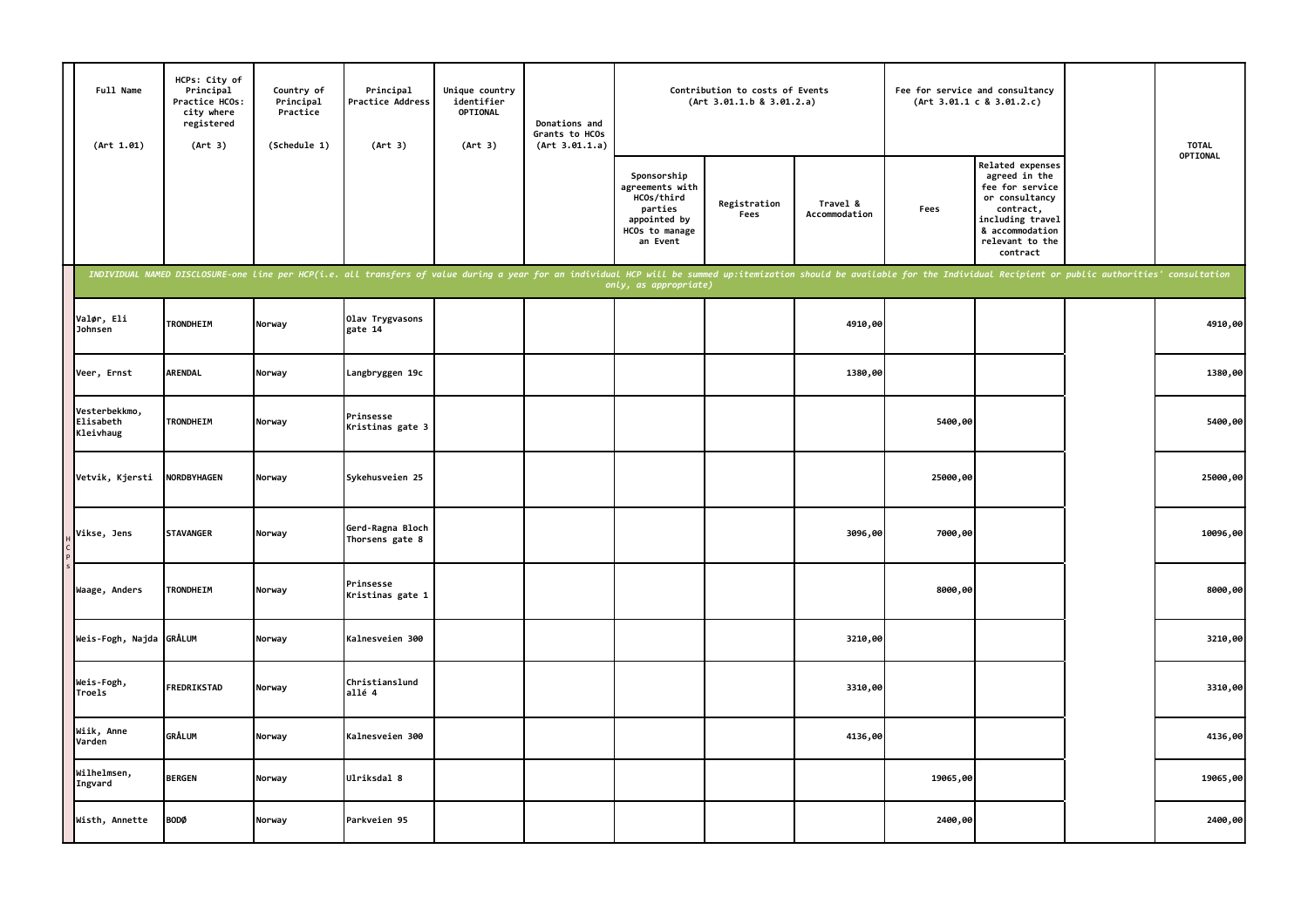| Full Name<br>(Art 1.01)                 | HCPs: City of<br>Principal<br>Practice HCOs:<br>city where<br>registered<br>(Art 3) | Country of<br>Principal<br>Practice<br>(Schedule 1) | Principal<br><b>Practice Address</b><br>(Art 3)                                                                                                                                                                                | Unique country<br>identifier<br>OPTIONAL<br>(Art 3) | Donations and<br>Grants to HCOs<br>(Art 3.01.1.a) | Contribution to costs of Events<br>(Art 3.01.1.b 8 3.01.2.a)                                          |                      |                           | Fee for service and consultancy<br>(Art 3.01.1 c 8 3.01.2.c) |                                                                                                                                                           | <b>TOTAL</b><br>OPTIONAL |
|-----------------------------------------|-------------------------------------------------------------------------------------|-----------------------------------------------------|--------------------------------------------------------------------------------------------------------------------------------------------------------------------------------------------------------------------------------|-----------------------------------------------------|---------------------------------------------------|-------------------------------------------------------------------------------------------------------|----------------------|---------------------------|--------------------------------------------------------------|-----------------------------------------------------------------------------------------------------------------------------------------------------------|--------------------------|
|                                         |                                                                                     |                                                     |                                                                                                                                                                                                                                |                                                     |                                                   | Sponsorship<br>agreements with<br>HCOs/third<br>parties<br>appointed by<br>HCOs to manage<br>an Event | Registration<br>Fees | Travel &<br>Accommodation | Fees                                                         | Related expenses<br>agreed in the<br>fee for service<br>or consultancy<br>contract,<br>including travel<br>& accommodation<br>relevant to the<br>contract |                          |
|                                         |                                                                                     |                                                     | INDIVIDUAL NAMED DISCLOSURE-one line per HCP(i.e. all transfers of value during a year for an individual HCP will be summed up:itemization should be available for the Individual Recipient or public authorities' consultatio |                                                     |                                                   | only, as appropriate)                                                                                 |                      |                           |                                                              |                                                                                                                                                           |                          |
| Valør, Eli<br>Johnsen                   | <b>TRONDHEIM</b>                                                                    | Norway                                              | Olav Trygvasons<br>gate 14                                                                                                                                                                                                     |                                                     |                                                   |                                                                                                       |                      | 4910,00                   |                                                              |                                                                                                                                                           | 4910,00                  |
| Veer, Ernst                             | <b>ARENDAL</b>                                                                      | Norway                                              | Langbryggen 19c                                                                                                                                                                                                                |                                                     |                                                   |                                                                                                       |                      | 1380,00                   |                                                              |                                                                                                                                                           | 1380,00                  |
| Vesterbekkmo,<br>Elisabeth<br>Kleivhaug | <b>TRONDHEIM</b>                                                                    | Norway                                              | Prinsesse<br>Kristinas gate 3                                                                                                                                                                                                  |                                                     |                                                   |                                                                                                       |                      |                           | 5400,00                                                      |                                                                                                                                                           | 5400,00                  |
| Vetvik, Kjersti                         | <b>NORDBYHAGEN</b>                                                                  | Norway                                              | Sykehusveien 25                                                                                                                                                                                                                |                                                     |                                                   |                                                                                                       |                      |                           | 25000,00                                                     |                                                                                                                                                           | 25000,00                 |
| Vikse, Jens                             | <b>STAVANGER</b>                                                                    | Norway                                              | Gerd-Ragna Bloch<br>Thorsens gate 8                                                                                                                                                                                            |                                                     |                                                   |                                                                                                       |                      | 3096,00                   | 7000,00                                                      |                                                                                                                                                           | 10096,00                 |
| Waage, Anders                           | <b>TRONDHEIM</b>                                                                    | Norway                                              | Prinsesse<br>Kristinas gate 1                                                                                                                                                                                                  |                                                     |                                                   |                                                                                                       |                      |                           | 8000,00                                                      |                                                                                                                                                           | 8000,00                  |
| Weis-Fogh, Najda GRÅLUM                 |                                                                                     | Norway                                              | Kalnesveien 300                                                                                                                                                                                                                |                                                     |                                                   |                                                                                                       |                      | 3210,00                   |                                                              |                                                                                                                                                           | 3210,00                  |
| Weis-Fogh,<br>Troels                    | <b>FREDRIKSTAD</b>                                                                  | Norway                                              | Christianslund<br>allé 4                                                                                                                                                                                                       |                                                     |                                                   |                                                                                                       |                      | 3310,00                   |                                                              |                                                                                                                                                           | 3310,00                  |
| Wiik, Anne<br>Varden                    | GRÅLUM                                                                              | Norway                                              | Kalnesveien 300                                                                                                                                                                                                                |                                                     |                                                   |                                                                                                       |                      | 4136,00                   |                                                              |                                                                                                                                                           | 4136,00                  |
| Wilhelmsen,<br>Ingvard                  | <b>BERGEN</b>                                                                       | Norway                                              | Ulriksdal 8                                                                                                                                                                                                                    |                                                     |                                                   |                                                                                                       |                      |                           | 19065,00                                                     |                                                                                                                                                           | 19065,00                 |
| Wisth, Annette                          | <b>BODØ</b>                                                                         | Norway                                              | Parkveien 95                                                                                                                                                                                                                   |                                                     |                                                   |                                                                                                       |                      |                           | 2400,00                                                      |                                                                                                                                                           | 2400,00                  |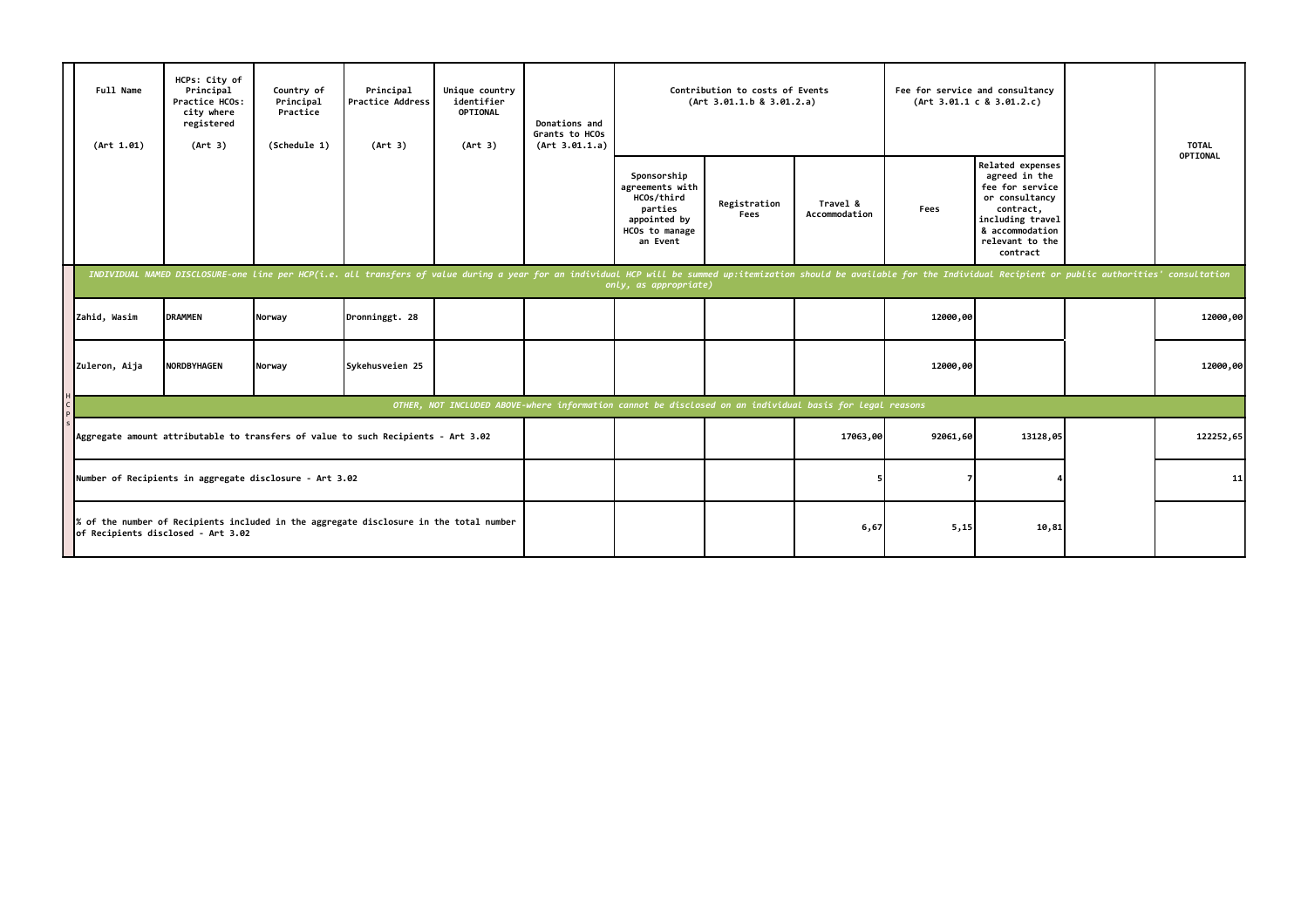|                                                                                                                            | Full Name<br>(Art 1.01)                                 | HCPs: City of<br>Principal<br>Practice HCOs:<br>city where<br>registered<br>(Art 3) | Country of<br>Principal<br>Practice<br>(Schedule 1) | Principal<br><b>Practice Address</b><br>(Art 3)                                                                                                                                                                                | Unique country<br>identifier<br>OPTIONAL<br>(Art 3) | Donations and<br>Grants to HCOs<br>(Art 3.01.1.a) | Contribution to costs of Events<br>(Art 3.01.1.b 8 3.01.2.a)                                             |                      |                           | Fee for service and consultancy | (Art 3.01.1 c 8 3.01.2.c)                                                                                                                                 | <b>TOTAL</b><br>OPTIONAL |
|----------------------------------------------------------------------------------------------------------------------------|---------------------------------------------------------|-------------------------------------------------------------------------------------|-----------------------------------------------------|--------------------------------------------------------------------------------------------------------------------------------------------------------------------------------------------------------------------------------|-----------------------------------------------------|---------------------------------------------------|----------------------------------------------------------------------------------------------------------|----------------------|---------------------------|---------------------------------|-----------------------------------------------------------------------------------------------------------------------------------------------------------|--------------------------|
|                                                                                                                            |                                                         |                                                                                     |                                                     |                                                                                                                                                                                                                                |                                                     |                                                   | Sponsorship<br>agreements with<br>HCOs/third<br>parties<br>appointed by<br>HCOs to manage<br>an Event    | Registration<br>Fees | Travel &<br>Accommodation | Fees                            | Related expenses<br>agreed in the<br>fee for service<br>or consultancy<br>contract,<br>including travel<br>& accommodation<br>relevant to the<br>contract |                          |
|                                                                                                                            |                                                         |                                                                                     |                                                     | INDIVIDUAL NAMED DISCLOSURE-one line per HCP(i.e. all transfers of value during a year for an individual HCP will be summed up:itemization should be available for the Individual Recipient or public authorities' consultatio |                                                     |                                                   | only, as appropriate)                                                                                    |                      |                           |                                 |                                                                                                                                                           |                          |
|                                                                                                                            | Zahid, Wasim                                            | <b>DRAMMEN</b>                                                                      | Norway                                              | Dronninggt. 28                                                                                                                                                                                                                 |                                                     |                                                   |                                                                                                          |                      |                           | 12000,00                        |                                                                                                                                                           | 12000,00                 |
|                                                                                                                            | Zuleron, Aija                                           | <b>NORDBYHAGEN</b>                                                                  | Norway                                              | Sykehusveien 25                                                                                                                                                                                                                |                                                     |                                                   |                                                                                                          |                      |                           | 12000,00                        |                                                                                                                                                           | 12000,00                 |
|                                                                                                                            |                                                         |                                                                                     |                                                     |                                                                                                                                                                                                                                |                                                     |                                                   | OTHER, NOT INCLUDED ABOVE-where information cannot be disclosed on an individual basis for legal reasons |                      |                           |                                 |                                                                                                                                                           |                          |
|                                                                                                                            |                                                         |                                                                                     |                                                     | Aggregate amount attributable to transfers of value to such Recipients - Art 3.02                                                                                                                                              |                                                     |                                                   |                                                                                                          |                      | 17063,00                  | 92061,60                        | 13128,05                                                                                                                                                  | 122252,65                |
|                                                                                                                            | Number of Recipients in aggregate disclosure - Art 3.02 |                                                                                     |                                                     |                                                                                                                                                                                                                                |                                                     |                                                   |                                                                                                          |                      |                           |                                 |                                                                                                                                                           | 11                       |
| of the number of Recipients included in the aggregate disclosure in the total number<br>of Recipients disclosed - Art 3.02 |                                                         |                                                                                     |                                                     |                                                                                                                                                                                                                                |                                                     |                                                   |                                                                                                          |                      | 6,67                      | 5,15                            | 10,81                                                                                                                                                     |                          |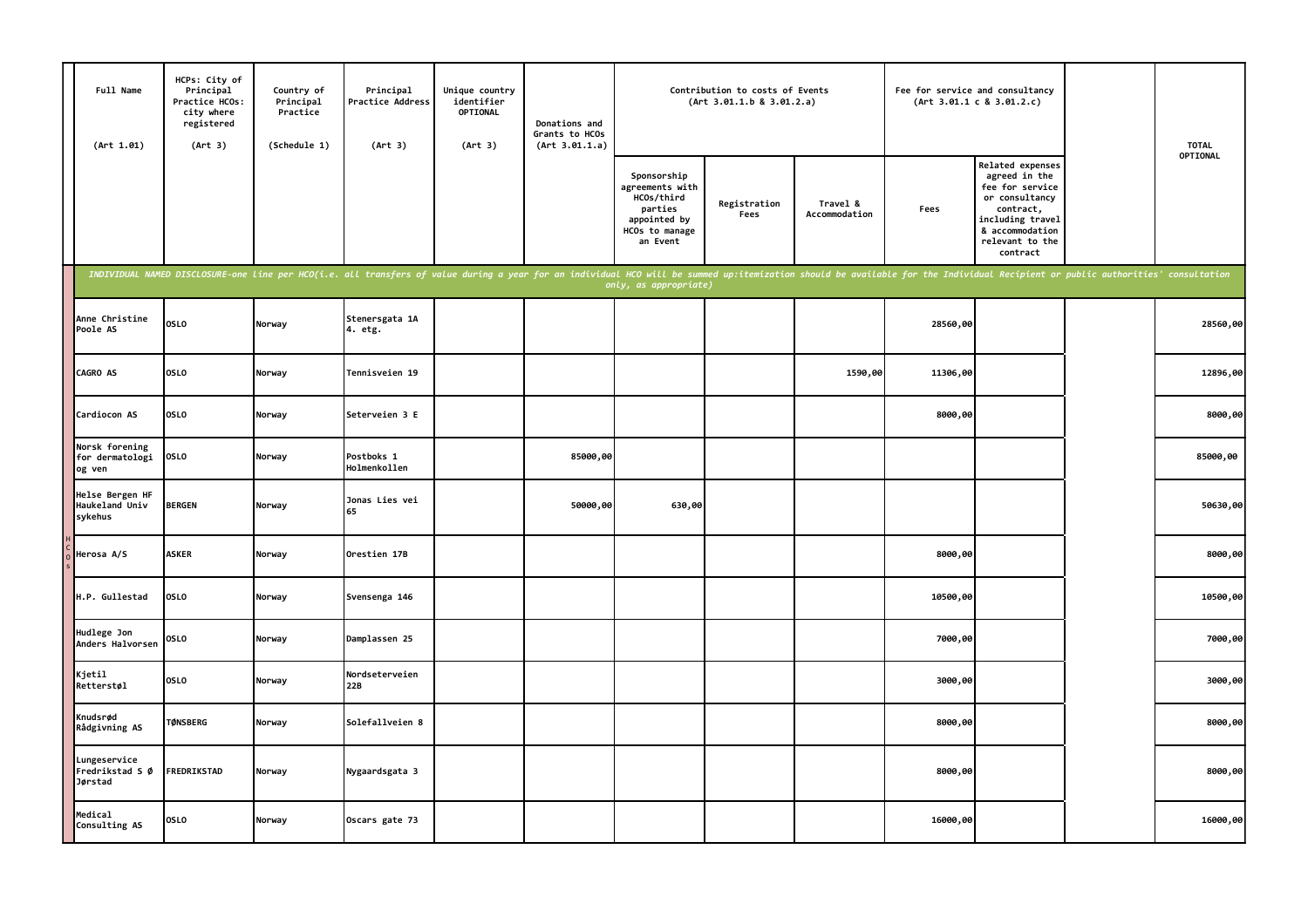| Full Name<br>(Art 1.01)                      | HCPs: City of<br>Principal<br>Practice HCOs:<br>city where<br>registered<br>(Art 3) | Country of<br>Principal<br>Practice<br>(Schedule 1) | Principal<br>Practice Address<br>(Art 3)                                                                                                                                                                                       | Unique country<br>identifier<br>OPTIONAL<br>(Art 3) | Donations and<br>Grants to HCOs<br>(Art 3.01.1.a) | Contribution to costs of Events<br>(Art 3.01.1.b 8 3.01.2.a)                                          |                      |                           | Fee for service and consultancy | (Art 3.01.1 c 8 3.01.2.c)                                                                                                                                 | <b>TOTAL</b> |
|----------------------------------------------|-------------------------------------------------------------------------------------|-----------------------------------------------------|--------------------------------------------------------------------------------------------------------------------------------------------------------------------------------------------------------------------------------|-----------------------------------------------------|---------------------------------------------------|-------------------------------------------------------------------------------------------------------|----------------------|---------------------------|---------------------------------|-----------------------------------------------------------------------------------------------------------------------------------------------------------|--------------|
|                                              |                                                                                     |                                                     |                                                                                                                                                                                                                                |                                                     |                                                   | Sponsorship<br>agreements with<br>HCOs/third<br>parties<br>appointed by<br>HCOs to manage<br>an Event | Registration<br>Fees | Travel &<br>Accommodation | Fees                            | Related expenses<br>agreed in the<br>fee for service<br>or consultancy<br>contract,<br>including travel<br>& accommodation<br>relevant to the<br>contract | OPTIONAL     |
|                                              |                                                                                     |                                                     | INDIVIDUAL NAMED DISCLOSURE-one line per HCO(i.e. all transfers of value during a year for an individual HCO will be summed up:itemization should be available for the Individual Recipient or public authorities' consultatio |                                                     |                                                   | only, as appropriate)                                                                                 |                      |                           |                                 |                                                                                                                                                           |              |
| Anne Christine<br>Poole AS                   | <b>OSLO</b>                                                                         | Norway                                              | Stenersgata 1A<br>4. etg.                                                                                                                                                                                                      |                                                     |                                                   |                                                                                                       |                      |                           | 28560,00                        |                                                                                                                                                           | 28560,00     |
| <b>CAGRO AS</b>                              | <b>OSLO</b>                                                                         | Norway                                              | Tennisveien 19                                                                                                                                                                                                                 |                                                     |                                                   |                                                                                                       |                      | 1590,00                   | 11306,00                        |                                                                                                                                                           | 12896,00     |
| Cardiocon AS                                 | <b>OSLO</b>                                                                         | Norway                                              | Seterveien 3 E                                                                                                                                                                                                                 |                                                     |                                                   |                                                                                                       |                      |                           | 8000,00                         |                                                                                                                                                           | 8000,00      |
| Norsk forening<br>for dermatologi<br>og ven  | <b>OSLO</b>                                                                         | Norway                                              | Postboks 1<br>Holmenkollen                                                                                                                                                                                                     |                                                     | 85000,00                                          |                                                                                                       |                      |                           |                                 |                                                                                                                                                           | 85000,00     |
| Helse Bergen HF<br>Haukeland Univ<br>sykehus | <b>BERGEN</b>                                                                       | Norway                                              | Jonas Lies vei<br>65                                                                                                                                                                                                           |                                                     | 50000,00                                          | 630,00                                                                                                |                      |                           |                                 |                                                                                                                                                           | 50630,00     |
| Herosa A/S                                   | <b>ASKER</b>                                                                        | Norway                                              | Orestien 17B                                                                                                                                                                                                                   |                                                     |                                                   |                                                                                                       |                      |                           | 8000,00                         |                                                                                                                                                           | 8000,00      |
| H.P. Gullestad                               | <b>OSLO</b>                                                                         | Norway                                              | Svensenga 146                                                                                                                                                                                                                  |                                                     |                                                   |                                                                                                       |                      |                           | 10500,00                        |                                                                                                                                                           | 10500,00     |
| Hudlege Jon<br>Anders Halvorsen              | <b>OSLO</b>                                                                         | Norway                                              | Damplassen 25                                                                                                                                                                                                                  |                                                     |                                                   |                                                                                                       |                      |                           | 7000,00                         |                                                                                                                                                           | 7000,00      |
| Kjetil<br>Retterstøl                         | <b>OSLO</b>                                                                         | Norway                                              | Nordseterveien<br>22B                                                                                                                                                                                                          |                                                     |                                                   |                                                                                                       |                      |                           | 3000,00                         |                                                                                                                                                           | 3000,00      |
| Knudsrød<br>Rådgivning AS                    | <b>TØNSBERG</b>                                                                     | Norway                                              | Solefallveien 8                                                                                                                                                                                                                |                                                     |                                                   |                                                                                                       |                      |                           | 8000,00                         |                                                                                                                                                           | 8000,00      |
| Lungeservice<br>Fredrikstad S Ø<br>Jørstad   | FREDRIKSTAD                                                                         | Norway                                              | Nygaardsgata 3                                                                                                                                                                                                                 |                                                     |                                                   |                                                                                                       |                      |                           | 8000,00                         |                                                                                                                                                           | 8000,00      |
| Medical<br>Consulting AS                     | <b>OSLO</b>                                                                         | Norway                                              | Oscars gate 73                                                                                                                                                                                                                 |                                                     |                                                   |                                                                                                       |                      |                           | 16000,00                        |                                                                                                                                                           | 16000,00     |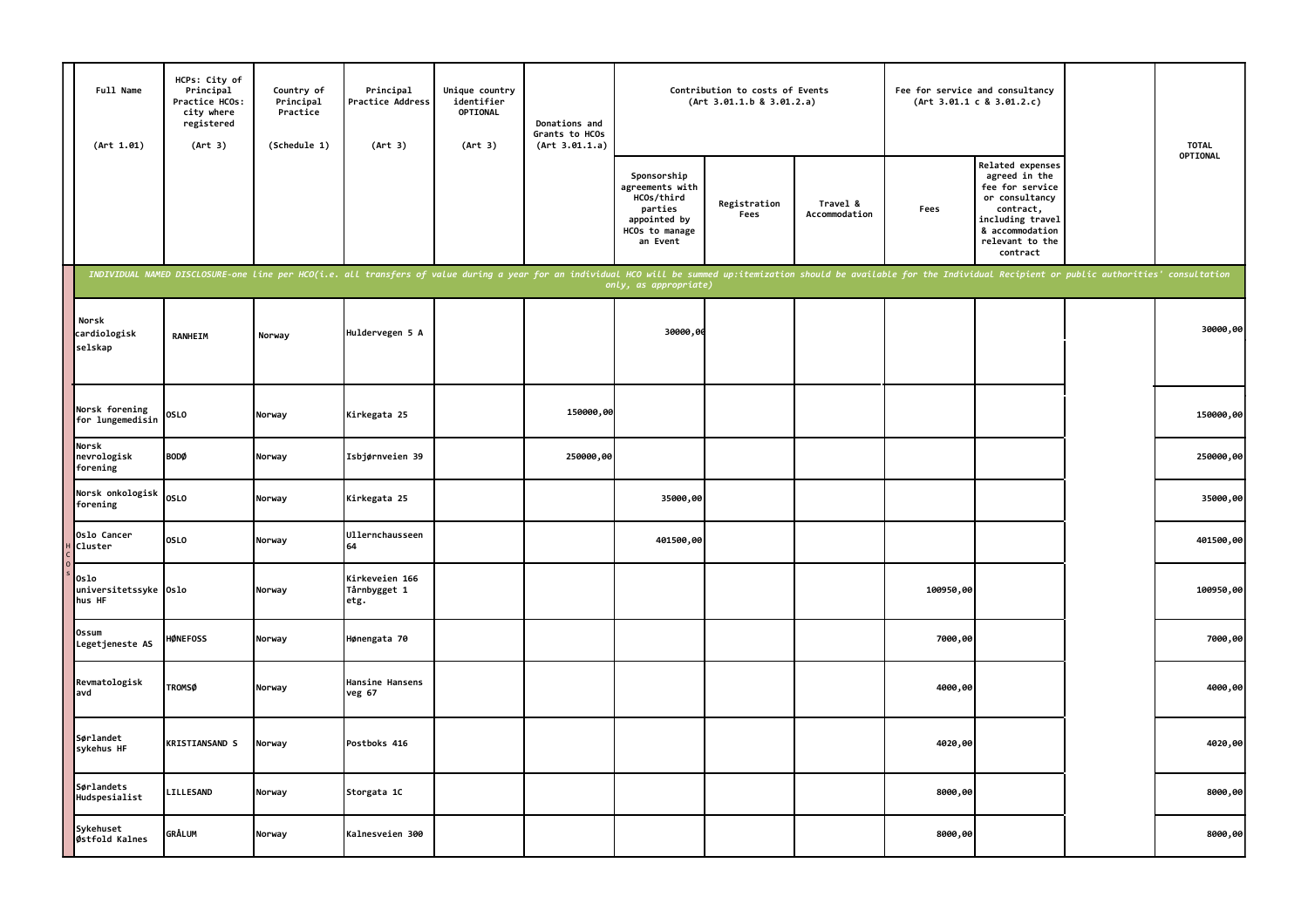| Full Name<br>(Art 1.01)                 | HCPs: City of<br>Principal<br>Practice HCOs:<br>city where<br>registered<br>(Art 3) | Country of<br>Principal<br>Practice<br>(Schedule 1) | Principal<br>Practice Address<br>(Art 3)                                                                                                                                                                                       | Unique country<br>identifier<br>OPTIONAL<br>(Art 3) | Donations and<br>Grants to HCOs<br>(Art 3.01.1.a) |                                                                                                       | Contribution to costs of Events<br>(Art 3.01.1.b 8 3.01.2.a) |                           | Fee for service and consultancy | (Art 3.01.1 c 8 3.01.2.c)                                                                                                                                 | <b>TOTAL</b> |
|-----------------------------------------|-------------------------------------------------------------------------------------|-----------------------------------------------------|--------------------------------------------------------------------------------------------------------------------------------------------------------------------------------------------------------------------------------|-----------------------------------------------------|---------------------------------------------------|-------------------------------------------------------------------------------------------------------|--------------------------------------------------------------|---------------------------|---------------------------------|-----------------------------------------------------------------------------------------------------------------------------------------------------------|--------------|
|                                         |                                                                                     |                                                     |                                                                                                                                                                                                                                |                                                     |                                                   | Sponsorship<br>agreements with<br>HCOs/third<br>parties<br>appointed by<br>HCOs to manage<br>an Event | Registration<br>Fees                                         | Travel &<br>Accommodation | Fees                            | Related expenses<br>agreed in the<br>fee for service<br>or consultancy<br>contract,<br>including travel<br>& accommodation<br>relevant to the<br>contract | OPTIONAL     |
|                                         |                                                                                     |                                                     | INDIVIDUAL NAMED DISCLOSURE-one line per HCO(i.e. all transfers of value during a year for an individual HCO will be summed up:itemization should be available for the Individual Recipient or public authorities' consultatio |                                                     |                                                   | only, as appropriate)                                                                                 |                                                              |                           |                                 |                                                                                                                                                           |              |
| Norsk<br>cardiologisk<br>selskap        | <b>RANHEIM</b>                                                                      | Norway                                              | Huldervegen 5 A                                                                                                                                                                                                                |                                                     |                                                   | 30000,0                                                                                               |                                                              |                           |                                 |                                                                                                                                                           | 30000,00     |
| Norsk forening<br>for lungemedisin      | <b>OSLO</b>                                                                         | Norway                                              | Kirkegata 25                                                                                                                                                                                                                   |                                                     | 150000,00                                         |                                                                                                       |                                                              |                           |                                 |                                                                                                                                                           | 150000,00    |
| Norsk<br>nevrologisk<br>forening        | <b>BODØ</b>                                                                         | Norway                                              | Isbjørnveien 39                                                                                                                                                                                                                |                                                     | 250000,00                                         |                                                                                                       |                                                              |                           |                                 |                                                                                                                                                           | 250000,00    |
| Norsk onkologisk<br>forening            | <b>OSLO</b>                                                                         | Norway                                              | Kirkegata 25                                                                                                                                                                                                                   |                                                     |                                                   | 35000,00                                                                                              |                                                              |                           |                                 |                                                                                                                                                           | 35000,00     |
| Oslo Cancer<br><b>Cluster</b>           | <b>OSLO</b>                                                                         | Norway                                              | Ullernchausseen<br>64                                                                                                                                                                                                          |                                                     |                                                   | 401500,00                                                                                             |                                                              |                           |                                 |                                                                                                                                                           | 401500,00    |
| 0slo<br>universitetssyke Oslo<br>hus HF |                                                                                     | Norway                                              | Kirkeveien 166<br>Tårnbygget 1<br>etg.                                                                                                                                                                                         |                                                     |                                                   |                                                                                                       |                                                              |                           | 100950,00                       |                                                                                                                                                           | 100950,00    |
| Ossum<br>Legetjeneste AS                | <b>HØNEFOSS</b>                                                                     | Norway                                              | Hønengata 70                                                                                                                                                                                                                   |                                                     |                                                   |                                                                                                       |                                                              |                           | 7000,00                         |                                                                                                                                                           | 7000,00      |
| Revmatologisk<br>avd                    | <b>TROMSØ</b>                                                                       | Norway                                              | Hansine Hansens<br>veg 67                                                                                                                                                                                                      |                                                     |                                                   |                                                                                                       |                                                              |                           | 4000,00                         |                                                                                                                                                           | 4000,00      |
| Sørlandet<br>sykehus HF                 | <b>KRISTIANSAND S</b>                                                               | Norway                                              | Postboks 416                                                                                                                                                                                                                   |                                                     |                                                   |                                                                                                       |                                                              |                           | 4020,00                         |                                                                                                                                                           | 4020,00      |
| Sørlandets<br>Hudspesialist             | <b>LILLESAND</b>                                                                    | Norway                                              | Storgata 1C                                                                                                                                                                                                                    |                                                     |                                                   |                                                                                                       |                                                              |                           | 8000,00                         |                                                                                                                                                           | 8000,00      |
| Sykehuset<br>Østfold Kalnes             | <b>GRÅLUM</b>                                                                       | Norway                                              | Kalnesveien 300                                                                                                                                                                                                                |                                                     |                                                   |                                                                                                       |                                                              |                           | 8000,00                         |                                                                                                                                                           | 8000,00      |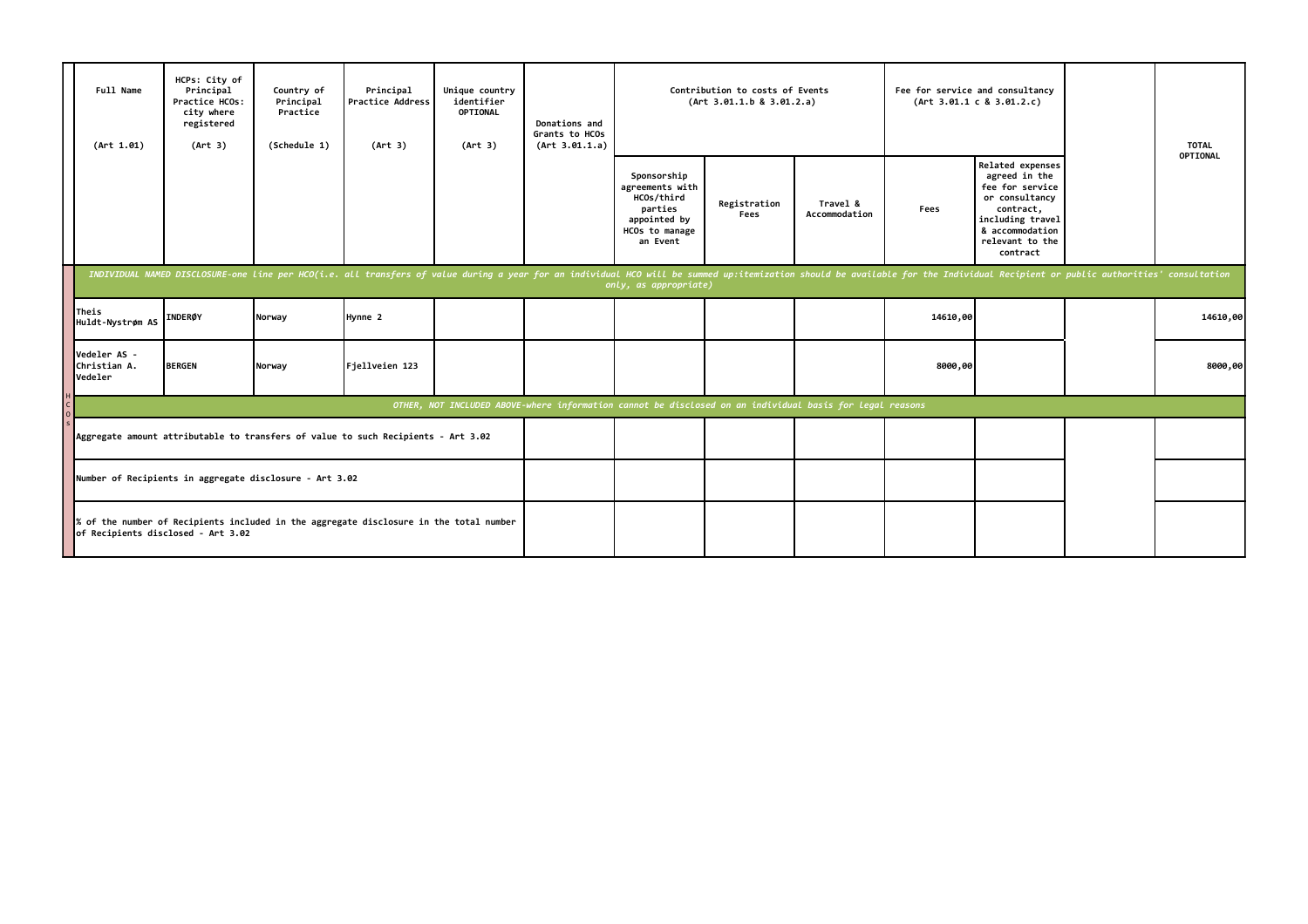|                                                                                                                              | Full Name<br>(Art 1.01)                 | HCPs: City of<br>Principal<br>Practice HCOs:<br>city where<br>registered<br>(Art 3) | Country of<br>Principal<br>Practice<br>(Schedule 1) | Principal<br><b>Practice Address</b><br>(Art 3)                                                                                                                                                                                | Unique country<br>identifier<br>OPTIONAL<br>(Art 3) | Donations and<br>Grants to HCOs<br>(Art 3.01.1.a) |                                                                                                          | Contribution to costs of Events<br>(Art 3.01.1.b 8 3.01.2.a) |                           |          | Fee for service and consultancy<br>(Art 3.01.1 c 8 3.01.2.c)                                                                                              | <b>TOTAL</b><br>OPTIONAL |
|------------------------------------------------------------------------------------------------------------------------------|-----------------------------------------|-------------------------------------------------------------------------------------|-----------------------------------------------------|--------------------------------------------------------------------------------------------------------------------------------------------------------------------------------------------------------------------------------|-----------------------------------------------------|---------------------------------------------------|----------------------------------------------------------------------------------------------------------|--------------------------------------------------------------|---------------------------|----------|-----------------------------------------------------------------------------------------------------------------------------------------------------------|--------------------------|
|                                                                                                                              |                                         |                                                                                     |                                                     |                                                                                                                                                                                                                                |                                                     |                                                   | Sponsorship<br>agreements with<br>HCOs/third<br>parties<br>appointed by<br>HCOs to manage<br>an Event    | Registration<br>Fees                                         | Travel &<br>Accommodation | Fees     | Related expenses<br>agreed in the<br>fee for service<br>or consultancy<br>contract,<br>including travel<br>& accommodation<br>relevant to the<br>contract |                          |
|                                                                                                                              |                                         |                                                                                     |                                                     | INDIVIDUAL NAMED DISCLOSURE-one line per HCO(i.e. all transfers of value during a year for an individual HCO will be summed up:itemization should be available for the Individual Recipient or public authorities' consultatio |                                                     |                                                   | only, as appropriate)                                                                                    |                                                              |                           |          |                                                                                                                                                           |                          |
|                                                                                                                              | Theis<br>Huldt-Nystrøm AS               | <b>INDERØY</b>                                                                      | Norway                                              | Hynne 2                                                                                                                                                                                                                        |                                                     |                                                   |                                                                                                          |                                                              |                           | 14610,00 |                                                                                                                                                           | 14610,00                 |
|                                                                                                                              | Vedeler AS -<br>Christian A.<br>Vedeler | <b>BERGEN</b>                                                                       | Norway                                              | Fjellveien 123                                                                                                                                                                                                                 |                                                     |                                                   |                                                                                                          |                                                              |                           | 8000,00  |                                                                                                                                                           | 8000,00                  |
|                                                                                                                              |                                         |                                                                                     |                                                     |                                                                                                                                                                                                                                |                                                     |                                                   | OTHER, NOT INCLUDED ABOVE-where information cannot be disclosed on an individual basis for legal reasons |                                                              |                           |          |                                                                                                                                                           |                          |
|                                                                                                                              |                                         |                                                                                     |                                                     | Aggregate amount attributable to transfers of value to such Recipients - Art 3.02                                                                                                                                              |                                                     |                                                   |                                                                                                          |                                                              |                           |          |                                                                                                                                                           |                          |
|                                                                                                                              |                                         | Number of Recipients in aggregate disclosure - Art 3.02                             |                                                     |                                                                                                                                                                                                                                |                                                     |                                                   |                                                                                                          |                                                              |                           |          |                                                                                                                                                           |                          |
| % of the number of Recipients included in the aggregate disclosure in the total number<br>of Recipients disclosed - Art 3.02 |                                         |                                                                                     |                                                     |                                                                                                                                                                                                                                |                                                     |                                                   |                                                                                                          |                                                              |                           |          |                                                                                                                                                           |                          |